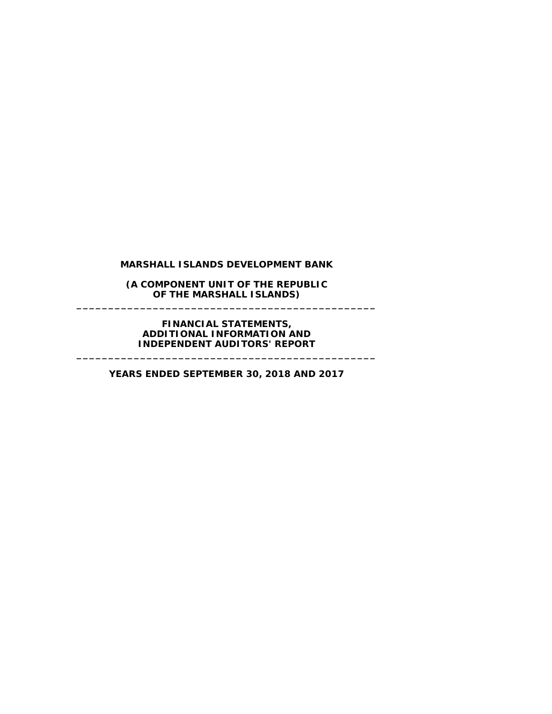**(A COMPONENT UNIT OF THE REPUBLIC OF THE MARSHALL ISLANDS) \_\_\_\_\_\_\_\_\_\_\_\_\_\_\_\_\_\_\_\_\_\_\_\_\_\_\_\_\_\_\_\_\_\_\_\_\_\_\_\_\_\_\_\_\_\_\_**

> **FINANCIAL STATEMENTS, ADDITIONAL INFORMATION AND INDEPENDENT AUDITORS' REPORT**

**\_\_\_\_\_\_\_\_\_\_\_\_\_\_\_\_\_\_\_\_\_\_\_\_\_\_\_\_\_\_\_\_\_\_\_\_\_\_\_\_\_\_\_\_\_\_\_**

**YEARS ENDED SEPTEMBER 30, 2018 AND 2017**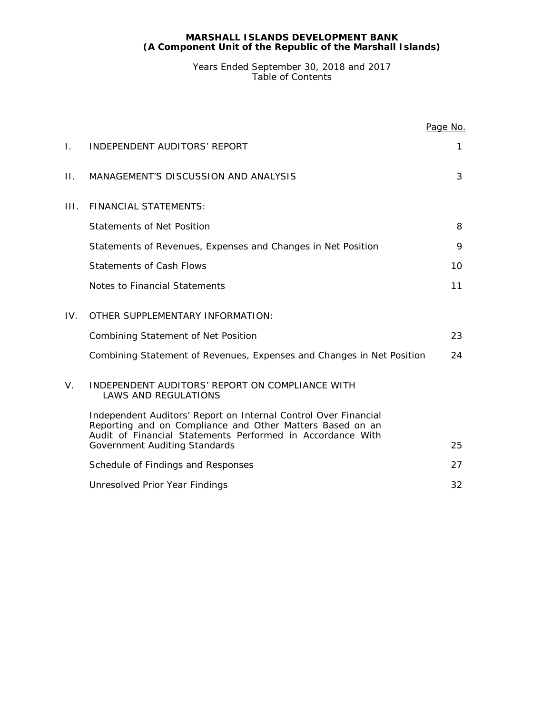Years Ended September 30, 2018 and 2017 Table of Contents

|      |                                                                                                                                                                                            | Page No. |
|------|--------------------------------------------------------------------------------------------------------------------------------------------------------------------------------------------|----------|
| Ι.   | INDEPENDENT AUDITORS' REPORT                                                                                                                                                               | 1        |
| Н.   | MANAGEMENT'S DISCUSSION AND ANALYSIS                                                                                                                                                       | 3        |
| III. | <b>FINANCIAL STATEMENTS:</b>                                                                                                                                                               |          |
|      | <b>Statements of Net Position</b>                                                                                                                                                          | 8        |
|      | Statements of Revenues, Expenses and Changes in Net Position                                                                                                                               | 9        |
|      | <b>Statements of Cash Flows</b>                                                                                                                                                            | 10       |
|      | Notes to Financial Statements                                                                                                                                                              | 11       |
| IV.  | OTHER SUPPLEMENTARY INFORMATION:                                                                                                                                                           |          |
|      | <b>Combining Statement of Net Position</b>                                                                                                                                                 | 23       |
|      | Combining Statement of Revenues, Expenses and Changes in Net Position                                                                                                                      | 24       |
| V.   | INDEPENDENT AUDITORS' REPORT ON COMPLIANCE WITH<br><b>LAWS AND REGULATIONS</b>                                                                                                             |          |
|      | Independent Auditors' Report on Internal Control Over Financial<br>Reporting and on Compliance and Other Matters Based on an<br>Audit of Financial Statements Performed in Accordance With |          |
|      | <b>Government Auditing Standards</b>                                                                                                                                                       | 25       |
|      | Schedule of Findings and Responses                                                                                                                                                         | 27       |
|      | Unresolved Prior Year Findings                                                                                                                                                             | 32       |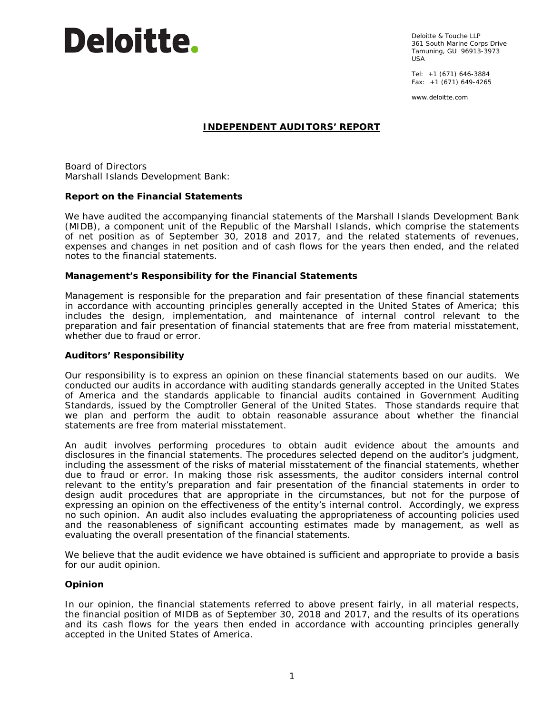

Deloitte & Touche LLP 361 South Marine Corps Drive Tamuning, GU 96913-3973 USA

Tel: +1 (671) 646-3884 Fax: +1 (671) 649-4265

www.deloitte.com

# **INDEPENDENT AUDITORS' REPORT**

Board of Directors Marshall Islands Development Bank:

## **Report on the Financial Statements**

We have audited the accompanying financial statements of the Marshall Islands Development Bank (MIDB), a component unit of the Republic of the Marshall Islands, which comprise the statements of net position as of September 30, 2018 and 2017, and the related statements of revenues, expenses and changes in net position and of cash flows for the years then ended, and the related notes to the financial statements.

#### *Management's Responsibility for the Financial Statements*

Management is responsible for the preparation and fair presentation of these financial statements in accordance with accounting principles generally accepted in the United States of America; this includes the design, implementation, and maintenance of internal control relevant to the preparation and fair presentation of financial statements that are free from material misstatement, whether due to fraud or error.

#### *Auditors' Responsibility*

Our responsibility is to express an opinion on these financial statements based on our audits. We conducted our audits in accordance with auditing standards generally accepted in the United States of America and the standards applicable to financial audits contained in *Government Auditing Standards,* issued by the Comptroller General of the United States. Those standards require that we plan and perform the audit to obtain reasonable assurance about whether the financial statements are free from material misstatement.

An audit involves performing procedures to obtain audit evidence about the amounts and disclosures in the financial statements. The procedures selected depend on the auditor's judgment, including the assessment of the risks of material misstatement of the financial statements, whether due to fraud or error. In making those risk assessments, the auditor considers internal control relevant to the entity's preparation and fair presentation of the financial statements in order to design audit procedures that are appropriate in the circumstances, but not for the purpose of expressing an opinion on the effectiveness of the entity's internal control. Accordingly, we express no such opinion. An audit also includes evaluating the appropriateness of accounting policies used and the reasonableness of significant accounting estimates made by management, as well as evaluating the overall presentation of the financial statements.

We believe that the audit evidence we have obtained is sufficient and appropriate to provide a basis for our audit opinion.

## *Opinion*

In our opinion, the financial statements referred to above present fairly, in all material respects, the financial position of MIDB as of September 30, 2018 and 2017, and the results of its operations and its cash flows for the years then ended in accordance with accounting principles generally accepted in the United States of America.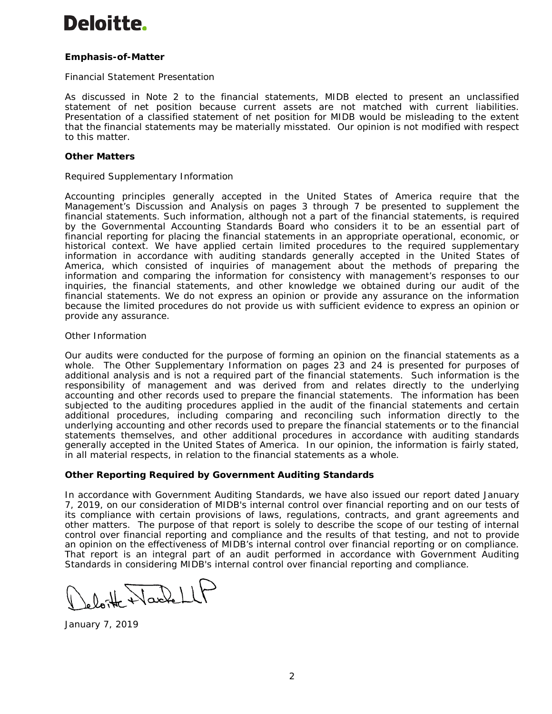# Deloitte.

# *Emphasis-of-Matter*

# *Financial Statement Presentation*

As discussed in Note 2 to the financial statements, MIDB elected to present an unclassified statement of net position because current assets are not matched with current liabilities. Presentation of a classified statement of net position for MIDB would be misleading to the extent that the financial statements may be materially misstated. Our opinion is not modified with respect to this matter.

# *Other Matters*

# *Required Supplementary Information*

Accounting principles generally accepted in the United States of America require that the Management's Discussion and Analysis on pages 3 through 7 be presented to supplement the financial statements. Such information, although not a part of the financial statements, is required by the Governmental Accounting Standards Board who considers it to be an essential part of financial reporting for placing the financial statements in an appropriate operational, economic, or historical context. We have applied certain limited procedures to the required supplementary information in accordance with auditing standards generally accepted in the United States of America, which consisted of inquiries of management about the methods of preparing the information and comparing the information for consistency with management's responses to our inquiries, the financial statements, and other knowledge we obtained during our audit of the financial statements. We do not express an opinion or provide any assurance on the information because the limited procedures do not provide us with sufficient evidence to express an opinion or provide any assurance.

## *Other Information*

Our audits were conducted for the purpose of forming an opinion on the financial statements as a whole. The Other Supplementary Information on pages 23 and 24 is presented for purposes of additional analysis and is not a required part of the financial statements. Such information is the responsibility of management and was derived from and relates directly to the underlying accounting and other records used to prepare the financial statements. The information has been subjected to the auditing procedures applied in the audit of the financial statements and certain additional procedures, including comparing and reconciling such information directly to the underlying accounting and other records used to prepare the financial statements or to the financial statements themselves, and other additional procedures in accordance with auditing standards generally accepted in the United States of America. In our opinion, the information is fairly stated, in all material respects, in relation to the financial statements as a whole.

# **Other Reporting Required by** *Government Auditing Standards*

In accordance with *Government Auditing Standards*, we have also issued our report dated January 7, 2019, on our consideration of MIDB's internal control over financial reporting and on our tests of its compliance with certain provisions of laws, regulations, contracts, and grant agreements and other matters. The purpose of that report is solely to describe the scope of our testing of internal control over financial reporting and compliance and the results of that testing, and not to provide an opinion on the effectiveness of MIDB's internal control over financial reporting or on compliance. That report is an integral part of an audit performed in accordance with *Government Auditing Standards* in considering MIDB's internal control over financial reporting and compliance.

eloith Wackell

January 7, 2019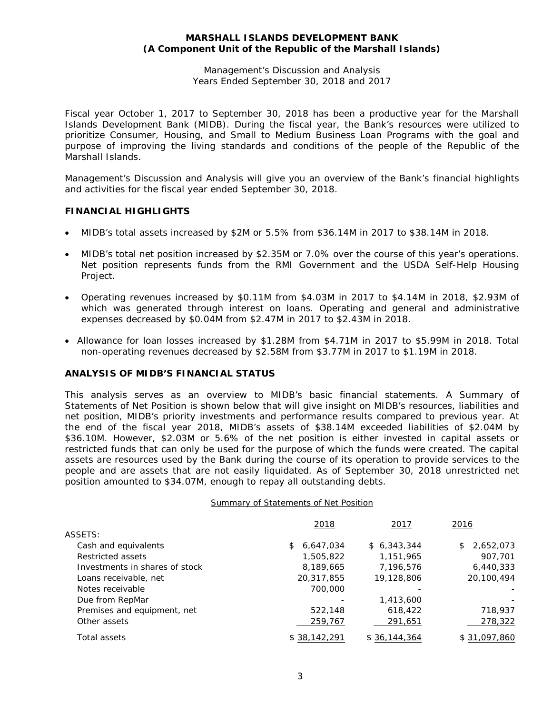Management's Discussion and Analysis Years Ended September 30, 2018 and 2017

Fiscal year October 1, 2017 to September 30, 2018 has been a productive year for the Marshall Islands Development Bank (MIDB). During the fiscal year, the Bank's resources were utilized to prioritize Consumer, Housing, and Small to Medium Business Loan Programs with the goal and purpose of improving the living standards and conditions of the people of the Republic of the Marshall Islands.

Management's Discussion and Analysis will give you an overview of the Bank's financial highlights and activities for the fiscal year ended September 30, 2018.

# **FINANCIAL HIGHLIGHTS**

- MIDB's total assets increased by \$2M or 5.5% from \$36.14M in 2017 to \$38.14M in 2018.
- MIDB's total net position increased by \$2.35M or 7.0% over the course of this year's operations. Net position represents funds from the RMI Government and the USDA Self-Help Housing Project.
- Operating revenues increased by \$0.11M from \$4.03M in 2017 to \$4.14M in 2018, \$2.93M of which was generated through interest on loans. Operating and general and administrative expenses decreased by \$0.04M from \$2.47M in 2017 to \$2.43M in 2018.
- Allowance for loan losses increased by \$1.28M from \$4.71M in 2017 to \$5.99M in 2018. Total non-operating revenues decreased by \$2.58M from \$3.77M in 2017 to \$1.19M in 2018.

# **ANALYSIS OF MIDB'S FINANCIAL STATUS**

This analysis serves as an overview to MIDB's basic financial statements. A Summary of Statements of Net Position is shown below that will give insight on MIDB's resources, liabilities and net position, MIDB's priority investments and performance results compared to previous year. At the end of the fiscal year 2018, MIDB's assets of \$38.14M exceeded liabilities of \$2.04M by \$36.10M. However, \$2.03M or 5.6% of the net position is either invested in capital assets or restricted funds that can only be used for the purpose of which the funds were created. The capital assets are resources used by the Bank during the course of its operation to provide services to the people and are assets that are not easily liquidated. As of September 30, 2018 unrestricted net position amounted to \$34.07M, enough to repay all outstanding debts.

#### Summary of Statements of Net Position

|                                | 2018            | 2017         | 2016            |
|--------------------------------|-----------------|--------------|-----------------|
| ASSETS:                        |                 |              |                 |
| Cash and equivalents           | 6,647,034<br>\$ | \$6,343,344  | 2,652,073<br>\$ |
| Restricted assets              | 1,505,822       | 1,151,965    | 907,701         |
| Investments in shares of stock | 8,189,665       | 7,196,576    | 6,440,333       |
| Loans receivable, net          | 20,317,855      | 19,128,806   | 20,100,494      |
| Notes receivable               | 700,000         |              |                 |
| Due from RepMar                |                 | 1,413,600    |                 |
| Premises and equipment, net    | 522,148         | 618,422      | 718,937         |
| Other assets                   | 259,767         | 291,651      | 278,322         |
| Total assets                   | \$38,142,291    | \$36,144,364 | \$31,097,860    |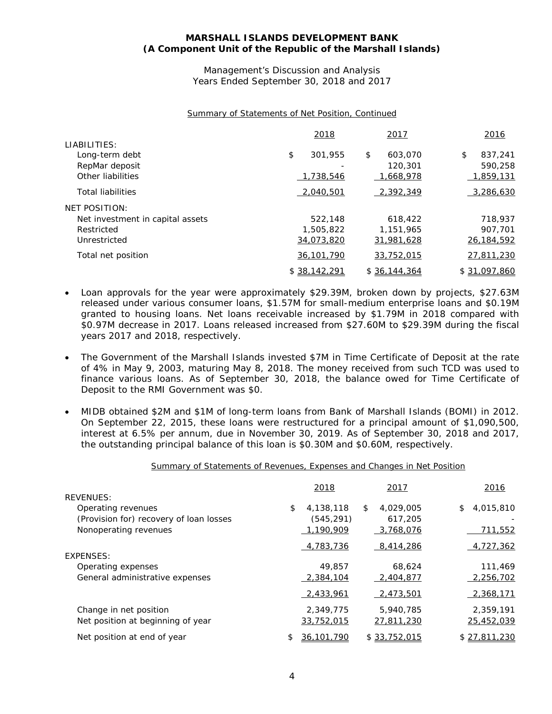Management's Discussion and Analysis Years Ended September 30, 2018 and 2017

#### Summary of Statements of Net Position, Continued

|                                  | 2018          | 2017          | 2016          |
|----------------------------------|---------------|---------------|---------------|
| LIABILITIES:                     |               |               |               |
| Long-term debt                   | \$<br>301,955 | \$<br>603,070 | 837,241<br>\$ |
| RepMar deposit                   |               | 120,301       | 590,258       |
| Other liabilities                | 1,738,546     | 1,668,978     | 1,859,131     |
| <b>Total liabilities</b>         | 2,040,501     | 2,392,349     | 3,286,630     |
| <b>NET POSITION:</b>             |               |               |               |
| Net investment in capital assets | 522.148       | 618,422       | 718,937       |
| Restricted                       | 1,505,822     | 1.151.965     | 907,701       |
| Unrestricted                     | 34,073,820    | 31,981,628    | 26,184,592    |
| Total net position               | 36,101,790    | 33,752,015    | 27,811,230    |
|                                  | \$38.142.291  | \$36.144.364  | \$31,097,860  |

- Loan approvals for the year were approximately \$29.39M, broken down by projects, \$27.63M released under various consumer loans, \$1.57M for small-medium enterprise loans and \$0.19M granted to housing loans. Net loans receivable increased by \$1.79M in 2018 compared with \$0.97M decrease in 2017. Loans released increased from \$27.60M to \$29.39M during the fiscal years 2017 and 2018, respectively.
- The Government of the Marshall Islands invested \$7M in Time Certificate of Deposit at the rate of 4% in May 9, 2003, maturing May 8, 2018. The money received from such TCD was used to finance various loans. As of September 30, 2018, the balance owed for Time Certificate of Deposit to the RMI Government was \$0.
- MIDB obtained \$2M and \$1M of long-term loans from Bank of Marshall Islands (BOMI) in 2012. On September 22, 2015, these loans were restructured for a principal amount of \$1,090,500, interest at 6.5% per annum, due in November 30, 2019. As of September 30, 2018 and 2017, the outstanding principal balance of this loan is \$0.30M and \$0.60M, respectively.

Summary of Statements of Revenues, Expenses and Changes in Net Position

|                                         | 2018             | 2017                  | 2016            |
|-----------------------------------------|------------------|-----------------------|-----------------|
| <b>REVENUES:</b>                        |                  |                       |                 |
| Operating revenues                      | 4,138,118<br>\$  | 4.029.005<br>\$       | 4,015,810<br>\$ |
| (Provision for) recovery of loan losses |                  | (545, 291)<br>617,205 |                 |
| Nonoperating revenues                   | 1,190,909        | 3,768,076             | 711,552         |
|                                         | 4,783,736        | 8,414,286             | 4,727,362       |
| EXPENSES:                               |                  |                       |                 |
| Operating expenses                      |                  | 49,857<br>68,624      | 111,469         |
| General administrative expenses         | 2,384,104        | 2,404,877             | 2,256,702       |
|                                         | 2,433,961        | 2,473,501             | 2,368,171       |
| Change in net position                  | 2,349,775        | 5,940,785             | 2,359,191       |
| Net position at beginning of year       | 33,752,015       | 27,811,230            | 25,452,039      |
| Net position at end of year             | 36,101,790<br>\$ | \$33,752,015          | \$27,811,230    |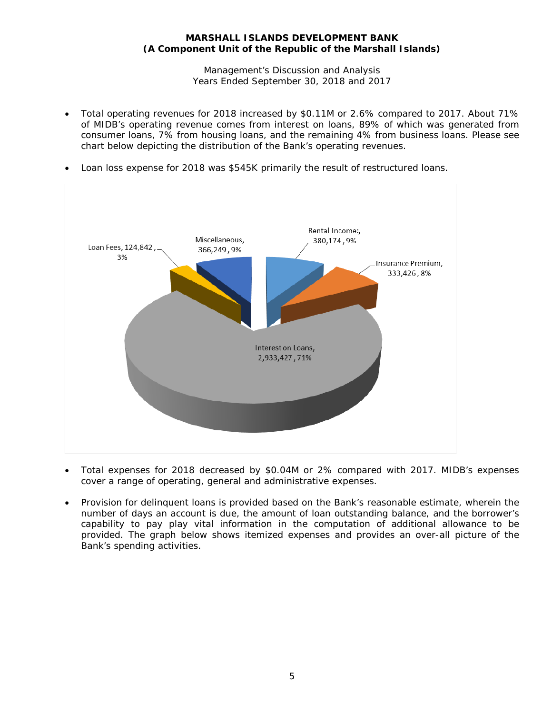Management's Discussion and Analysis Years Ended September 30, 2018 and 2017

- Total operating revenues for 2018 increased by \$0.11M or 2.6% compared to 2017. About 71% of MIDB's operating revenue comes from interest on loans, 89% of which was generated from consumer loans, 7% from housing loans, and the remaining 4% from business loans. Please see chart below depicting the distribution of the Bank's operating revenues.
- Loan loss expense for 2018 was \$545K primarily the result of restructured loans.



- Total expenses for 2018 decreased by \$0.04M or 2% compared with 2017. MIDB's expenses cover a range of operating, general and administrative expenses.
- Provision for delinquent loans is provided based on the Bank's reasonable estimate, wherein the number of days an account is due, the amount of loan outstanding balance, and the borrower's capability to pay play vital information in the computation of additional allowance to be provided. The graph below shows itemized expenses and provides an over-all picture of the Bank's spending activities.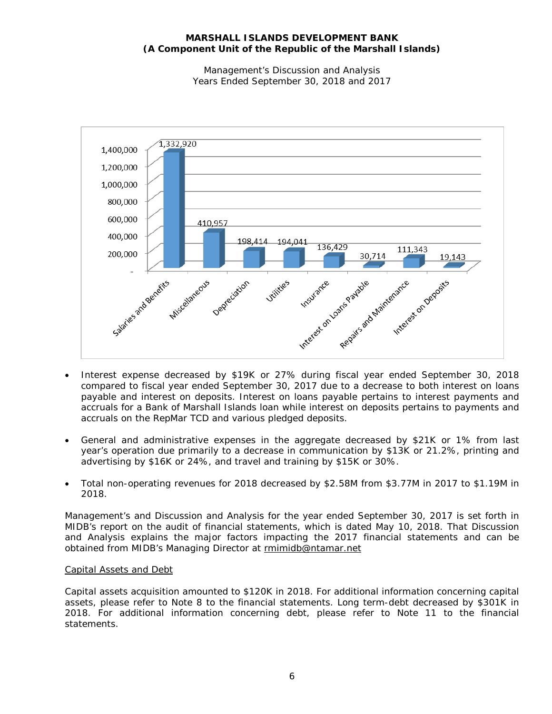Management's Discussion and Analysis Years Ended September 30, 2018 and 2017



- Interest expense decreased by \$19K or 27% during fiscal year ended September 30, 2018 compared to fiscal year ended September 30, 2017 due to a decrease to both interest on loans payable and interest on deposits. Interest on loans payable pertains to interest payments and accruals for a Bank of Marshall Islands loan while interest on deposits pertains to payments and accruals on the RepMar TCD and various pledged deposits.
- General and administrative expenses in the aggregate decreased by \$21K or 1% from last year's operation due primarily to a decrease in communication by \$13K or 21.2%, printing and advertising by \$16K or 24%, and travel and training by \$15K or 30%.
- Total non-operating revenues for 2018 decreased by \$2.58M from \$3.77M in 2017 to \$1.19M in 2018.

Management's and Discussion and Analysis for the year ended September 30, 2017 is set forth in MIDB's report on the audit of financial statements, which is dated May 10, 2018. That Discussion and Analysis explains the major factors impacting the 2017 financial statements and can be obtained from MIDB's Managing Director at [rmimidb@ntamar.net](mailto:rmimidb@ntamar.net)

# Capital Assets and Debt

Capital assets acquisition amounted to \$120K in 2018. For additional information concerning capital assets, please refer to Note 8 to the financial statements. Long term-debt decreased by \$301K in 2018. For additional information concerning debt, please refer to Note 11 to the financial statements.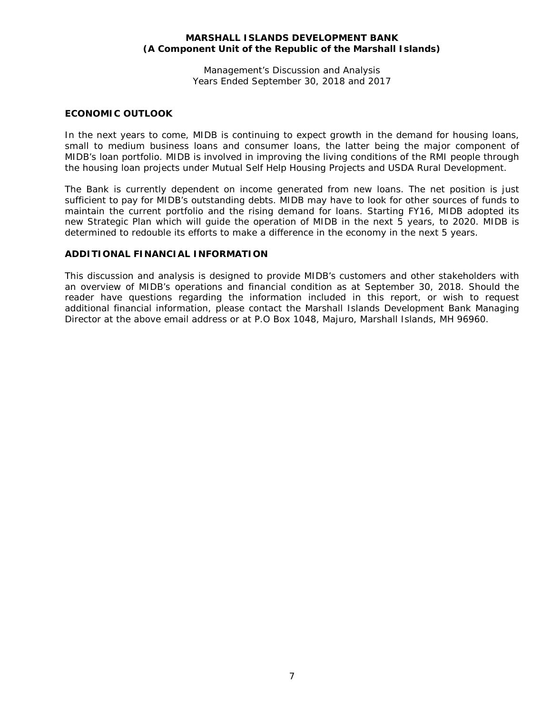Management's Discussion and Analysis Years Ended September 30, 2018 and 2017

# **ECONOMIC OUTLOOK**

In the next years to come, MIDB is continuing to expect growth in the demand for housing loans, small to medium business loans and consumer loans, the latter being the major component of MIDB's loan portfolio. MIDB is involved in improving the living conditions of the RMI people through the housing loan projects under Mutual Self Help Housing Projects and USDA Rural Development.

The Bank is currently dependent on income generated from new loans. The net position is just sufficient to pay for MIDB's outstanding debts. MIDB may have to look for other sources of funds to maintain the current portfolio and the rising demand for loans. Starting FY16, MIDB adopted its new Strategic Plan which will guide the operation of MIDB in the next 5 years, to 2020. MIDB is determined to redouble its efforts to make a difference in the economy in the next 5 years.

# **ADDITIONAL FINANCIAL INFORMATION**

This discussion and analysis is designed to provide MIDB's customers and other stakeholders with an overview of MIDB's operations and financial condition as at September 30, 2018. Should the reader have questions regarding the information included in this report, or wish to request additional financial information, please contact the Marshall Islands Development Bank Managing Director at the above email address or at P.O Box 1048, Majuro, Marshall Islands, MH 96960.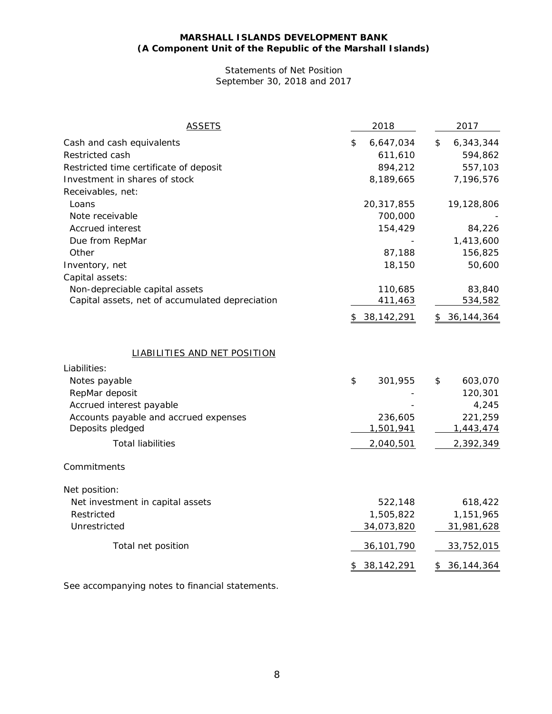Statements of Net Position September 30, 2018 and 2017

| <b>ASSETS</b>                                   | 2018             | 2017               |
|-------------------------------------------------|------------------|--------------------|
| Cash and cash equivalents                       | \$<br>6,647,034  | \$<br>6,343,344    |
| Restricted cash                                 | 611,610          | 594,862            |
| Restricted time certificate of deposit          | 894,212          | 557,103            |
| Investment in shares of stock                   | 8,189,665        | 7,196,576          |
| Receivables, net:                               |                  |                    |
| Loans                                           | 20,317,855       | 19,128,806         |
| Note receivable                                 | 700,000          |                    |
| <b>Accrued interest</b>                         | 154,429          | 84,226             |
| Due from RepMar                                 |                  | 1,413,600          |
| Other                                           | 87,188           | 156,825            |
| Inventory, net                                  | 18,150           | 50,600             |
| Capital assets:                                 |                  |                    |
| Non-depreciable capital assets                  | 110,685          | 83,840             |
| Capital assets, net of accumulated depreciation | 411,463          | 534,582            |
|                                                 | 38,142,291<br>\$ | 36, 144, 364<br>\$ |
| <b>LIABILITIES AND NET POSITION</b>             |                  |                    |
| Liabilities:                                    |                  |                    |
| Notes payable                                   | \$<br>301,955    | \$<br>603,070      |
| RepMar deposit                                  |                  | 120,301            |
| Accrued interest payable                        |                  | 4,245              |
| Accounts payable and accrued expenses           | 236,605          | 221,259            |
| Deposits pledged                                | 1,501,941        | 1,443,474          |
| <b>Total liabilities</b>                        | 2,040,501        | 2,392,349          |
| Commitments                                     |                  |                    |
| Net position:                                   |                  |                    |
| Net investment in capital assets                | 522,148          | 618,422            |
| Restricted                                      | 1,505,822        | 1,151,965          |
| Unrestricted                                    | 34,073,820       | 31,981,628         |
| Total net position                              | 36,101,790       | 33,752,015         |
|                                                 | 38,142,291<br>\$ | 36, 144, 364<br>\$ |

See accompanying notes to financial statements.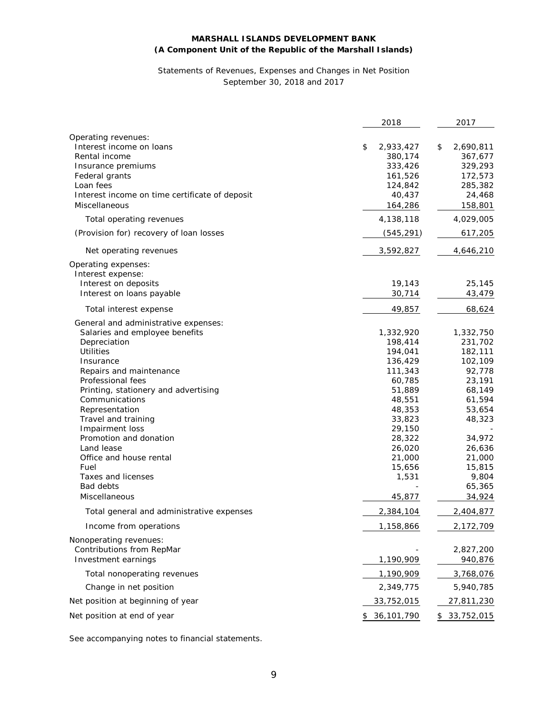# Statements of Revenues, Expenses and Changes in Net Position September 30, 2018 and 2017

|                                                                                                                                                                                                                                                                                                                                                                                                                                                                                         | 2018                                                                                                                                                                                      | 2017                                                                                                                                                                                     |
|-----------------------------------------------------------------------------------------------------------------------------------------------------------------------------------------------------------------------------------------------------------------------------------------------------------------------------------------------------------------------------------------------------------------------------------------------------------------------------------------|-------------------------------------------------------------------------------------------------------------------------------------------------------------------------------------------|------------------------------------------------------------------------------------------------------------------------------------------------------------------------------------------|
| Operating revenues:<br>Interest income on loans<br>Rental income<br>Insurance premiums<br>Federal grants<br>Loan fees<br>Interest income on time certificate of deposit<br><b>Miscellaneous</b>                                                                                                                                                                                                                                                                                         | \$<br>2,933,427<br>380,174<br>333,426<br>161,526<br>124,842<br>40,437<br>164,286                                                                                                          | \$<br>2,690,811<br>367,677<br>329,293<br>172,573<br>285,382<br>24,468<br>158,801                                                                                                         |
| Total operating revenues                                                                                                                                                                                                                                                                                                                                                                                                                                                                | 4,138,118                                                                                                                                                                                 | 4,029,005                                                                                                                                                                                |
| (Provision for) recovery of loan losses                                                                                                                                                                                                                                                                                                                                                                                                                                                 | (545, 291)                                                                                                                                                                                | 617,205                                                                                                                                                                                  |
| Net operating revenues                                                                                                                                                                                                                                                                                                                                                                                                                                                                  | 3,592,827                                                                                                                                                                                 | 4,646,210                                                                                                                                                                                |
| Operating expenses:<br>Interest expense:<br>Interest on deposits<br>Interest on loans payable                                                                                                                                                                                                                                                                                                                                                                                           | 19,143<br>30,714                                                                                                                                                                          | 25,145<br>43,479                                                                                                                                                                         |
| Total interest expense                                                                                                                                                                                                                                                                                                                                                                                                                                                                  | 49,857                                                                                                                                                                                    | 68,624                                                                                                                                                                                   |
| General and administrative expenses:<br>Salaries and employee benefits<br>Depreciation<br><b>Utilities</b><br>Insurance<br>Repairs and maintenance<br>Professional fees<br>Printing, stationery and advertising<br>Communications<br>Representation<br>Travel and training<br>Impairment loss<br>Promotion and donation<br>Land lease<br>Office and house rental<br>Fuel<br><b>Taxes and licenses</b><br><b>Bad debts</b><br>Miscellaneous<br>Total general and administrative expenses | 1,332,920<br>198,414<br>194,041<br>136,429<br>111,343<br>60,785<br>51,889<br>48,551<br>48,353<br>33,823<br>29,150<br>28,322<br>26,020<br>21,000<br>15,656<br>1,531<br>45,877<br>2,384,104 | 1,332,750<br>231,702<br>182,111<br>102,109<br>92,778<br>23,191<br>68,149<br>61,594<br>53,654<br>48,323<br>34,972<br>26,636<br>21,000<br>15,815<br>9,804<br>65,365<br>34,924<br>2,404,877 |
|                                                                                                                                                                                                                                                                                                                                                                                                                                                                                         |                                                                                                                                                                                           |                                                                                                                                                                                          |
| Income from operations<br>Nonoperating revenues:<br>Contributions from RepMar<br>Investment earnings<br>Total nonoperating revenues                                                                                                                                                                                                                                                                                                                                                     | 1,158,866<br>1,190,909<br>1,190,909                                                                                                                                                       | 2,172,709<br>2,827,200<br>940,876<br>3,768,076                                                                                                                                           |
| Change in net position                                                                                                                                                                                                                                                                                                                                                                                                                                                                  | 2,349,775                                                                                                                                                                                 | 5,940,785                                                                                                                                                                                |
| Net position at beginning of year                                                                                                                                                                                                                                                                                                                                                                                                                                                       | 33,752,015                                                                                                                                                                                | 27,811,230                                                                                                                                                                               |
| Net position at end of year                                                                                                                                                                                                                                                                                                                                                                                                                                                             | \$36,101,790                                                                                                                                                                              | \$33,752,015                                                                                                                                                                             |

See accompanying notes to financial statements.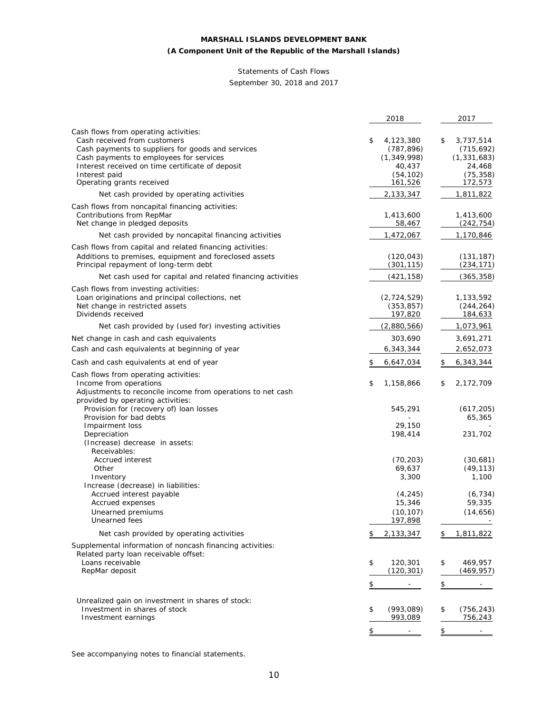#### **(A Component Unit of the Republic of the Marshall Islands)**

#### Statements of Cash Flows

September 30, 2018 and 2017

|                                                                                                                                                                                                                                                                                                                                                                                                                                                                                                                                                                                                                        | 2018                                                                                                                                            |                                                                                                                                                             |
|------------------------------------------------------------------------------------------------------------------------------------------------------------------------------------------------------------------------------------------------------------------------------------------------------------------------------------------------------------------------------------------------------------------------------------------------------------------------------------------------------------------------------------------------------------------------------------------------------------------------|-------------------------------------------------------------------------------------------------------------------------------------------------|-------------------------------------------------------------------------------------------------------------------------------------------------------------|
| Cash flows from operating activities:<br>Cash received from customers<br>Cash payments to suppliers for goods and services<br>Cash payments to employees for services<br>Interest received on time certificate of deposit<br>Interest paid<br>Operating grants received<br>Net cash provided by operating activities<br>Cash flows from noncapital financing activities:<br>Contributions from RepMar<br>Net change in pledged deposits<br>Net cash provided by noncapital financing activities<br>Cash flows from capital and related financing activities:<br>Additions to premises, equipment and foreclosed assets | \$<br>4,123,380<br>(787, 896)<br>(1, 349, 998)<br>40,437<br>(54, 102)<br>161,526<br>2,133,347<br>1,413,600<br>58,467<br>1,472,067<br>(120, 043) | 2017<br>\$<br>3,737,514<br>(715, 692)<br>(1, 331, 683)<br>24,468<br>(75, 358)<br>172,573<br>1,811,822<br>1,413,600<br>(242, 754)<br>1,170,846<br>(131, 187) |
| Principal repayment of long-term debt                                                                                                                                                                                                                                                                                                                                                                                                                                                                                                                                                                                  | (301, 115)                                                                                                                                      | (234, 171)                                                                                                                                                  |
| Net cash used for capital and related financing activities                                                                                                                                                                                                                                                                                                                                                                                                                                                                                                                                                             | (421, 158)                                                                                                                                      | (365, 358)                                                                                                                                                  |
| Cash flows from investing activities:<br>Loan originations and principal collections, net<br>Net change in restricted assets<br>Dividends received                                                                                                                                                                                                                                                                                                                                                                                                                                                                     | (2, 724, 529)<br>(353, 857)<br>197,820                                                                                                          | 1,133,592<br>(244, 264)<br>184,633                                                                                                                          |
| Net cash provided by (used for) investing activities                                                                                                                                                                                                                                                                                                                                                                                                                                                                                                                                                                   | (2,880,566)                                                                                                                                     | 1,073,961                                                                                                                                                   |
| Net change in cash and cash equivalents                                                                                                                                                                                                                                                                                                                                                                                                                                                                                                                                                                                | 303,690                                                                                                                                         | 3,691,271                                                                                                                                                   |
| Cash and cash equivalents at beginning of year                                                                                                                                                                                                                                                                                                                                                                                                                                                                                                                                                                         | 6,343,344                                                                                                                                       | 2,652,073                                                                                                                                                   |
| Cash and cash equivalents at end of year                                                                                                                                                                                                                                                                                                                                                                                                                                                                                                                                                                               | \$<br>6,647,034                                                                                                                                 | 6,343,344<br>\$                                                                                                                                             |
| Cash flows from operating activities:<br>Income from operations<br>Adjustments to reconcile income from operations to net cash<br>provided by operating activities:                                                                                                                                                                                                                                                                                                                                                                                                                                                    | \$<br>1,158,866                                                                                                                                 | \$<br>2,172,709                                                                                                                                             |
| Provision for (recovery of) loan losses<br>Provision for bad debts<br>Impairment loss<br>Depreciation<br>(Increase) decrease in assets:                                                                                                                                                                                                                                                                                                                                                                                                                                                                                | 545,291<br>29,150<br>198,414                                                                                                                    | (617, 205)<br>65,365<br>231,702                                                                                                                             |
| Receivables:<br>Accrued interest<br>Other<br>Inventory<br>Increase (decrease) in liabilities:                                                                                                                                                                                                                                                                                                                                                                                                                                                                                                                          | (70, 203)<br>69,637<br>3,300                                                                                                                    | (30,681)<br>(49, 113)<br>1,100                                                                                                                              |
| Accrued interest payable<br>Accrued expenses<br>Unearned premiums<br>Unearned fees                                                                                                                                                                                                                                                                                                                                                                                                                                                                                                                                     | (4, 245)<br>15,346<br>(10, 107)<br>197,898                                                                                                      | (6, 734)<br>59,335<br>(14, 656)                                                                                                                             |
| Net cash provided by operating activities                                                                                                                                                                                                                                                                                                                                                                                                                                                                                                                                                                              | \$<br>2,133,347                                                                                                                                 | 1,811,822<br>\$                                                                                                                                             |
| Supplemental information of noncash financing activities:<br>Related party loan receivable offset:<br>Loans receivable                                                                                                                                                                                                                                                                                                                                                                                                                                                                                                 | \$<br>120,301                                                                                                                                   | \$<br>469,957                                                                                                                                               |
| RepMar deposit                                                                                                                                                                                                                                                                                                                                                                                                                                                                                                                                                                                                         | (120, 301)<br>\$                                                                                                                                | (469,957)<br>\$                                                                                                                                             |
| Unrealized gain on investment in shares of stock:<br>Investment in shares of stock<br>Investment earnings                                                                                                                                                                                                                                                                                                                                                                                                                                                                                                              | (993,089)<br>\$<br>993,089                                                                                                                      | \$<br>(756, 243)<br>756,243                                                                                                                                 |
|                                                                                                                                                                                                                                                                                                                                                                                                                                                                                                                                                                                                                        | \$                                                                                                                                              | \$                                                                                                                                                          |

See accompanying notes to financial statements.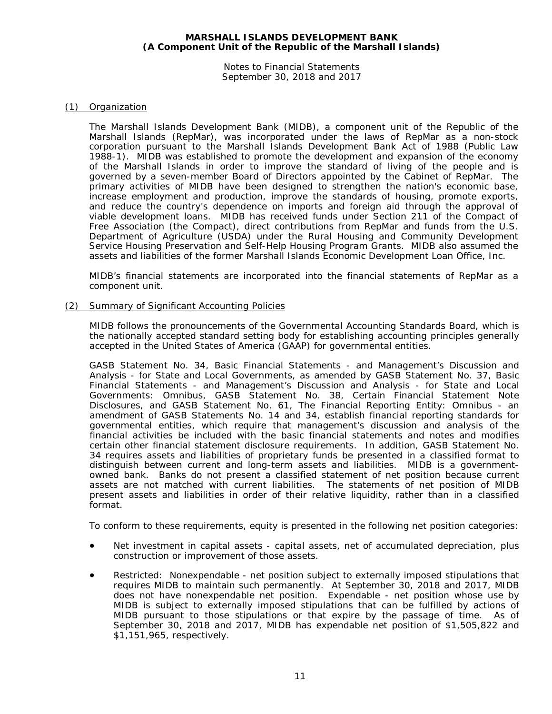Notes to Financial Statements September 30, 2018 and 2017

# (1) Organization

The Marshall Islands Development Bank (MIDB), a component unit of the Republic of the Marshall Islands (RepMar), was incorporated under the laws of RepMar as a non-stock corporation pursuant to the Marshall Islands Development Bank Act of 1988 (Public Law 1988-1). MIDB was established to promote the development and expansion of the economy of the Marshall Islands in order to improve the standard of living of the people and is governed by a seven-member Board of Directors appointed by the Cabinet of RepMar. The primary activities of MIDB have been designed to strengthen the nation's economic base, increase employment and production, improve the standards of housing, promote exports, and reduce the country's dependence on imports and foreign aid through the approval of viable development loans. MIDB has received funds under Section 211 of the Compact of Free Association (the Compact), direct contributions from RepMar and funds from the U.S. Department of Agriculture (USDA) under the Rural Housing and Community Development Service Housing Preservation and Self-Help Housing Program Grants. MIDB also assumed the assets and liabilities of the former Marshall Islands Economic Development Loan Office, Inc.

MIDB's financial statements are incorporated into the financial statements of RepMar as a component unit.

## (2) Summary of Significant Accounting Policies

MIDB follows the pronouncements of the Governmental Accounting Standards Board, which is the nationally accepted standard setting body for establishing accounting principles generally accepted in the United States of America (GAAP) for governmental entities.

GASB Statement No. 34, *Basic Financial Statements - and Management's Discussion and Analysis - for State and Local Governments*, as amended by GASB Statement No. 37, *Basic Financial Statements - and Management's Discussion and Analysis - for State and Local Governments: Omnibus*, GASB Statement No. 38, *Certain Financial Statement Note Disclosures*, and GASB Statement No. 61, *The Financial Reporting Entity: Omnibus - an amendment of GASB Statements No. 14 and 34*, establish financial reporting standards for governmental entities, which require that management's discussion and analysis of the financial activities be included with the basic financial statements and notes and modifies certain other financial statement disclosure requirements. In addition, GASB Statement No. 34 requires assets and liabilities of proprietary funds be presented in a classified format to distinguish between current and long-term assets and liabilities. MIDB is a governmentowned bank. Banks do not present a classified statement of net position because current assets are not matched with current liabilities. The statements of net position of MIDB present assets and liabilities in order of their relative liquidity, rather than in a classified format.

To conform to these requirements, equity is presented in the following net position categories:

- Net investment in capital assets capital assets, net of accumulated depreciation, plus construction or improvement of those assets.
- Restricted: Nonexpendable net position subject to externally imposed stipulations that requires MIDB to maintain such permanently. At September 30, 2018 and 2017, MIDB does not have nonexpendable net position. Expendable - net position whose use by MIDB is subject to externally imposed stipulations that can be fulfilled by actions of MIDB pursuant to those stipulations or that expire by the passage of time. As of September 30, 2018 and 2017, MIDB has expendable net position of \$1,505,822 and \$1,151,965, respectively.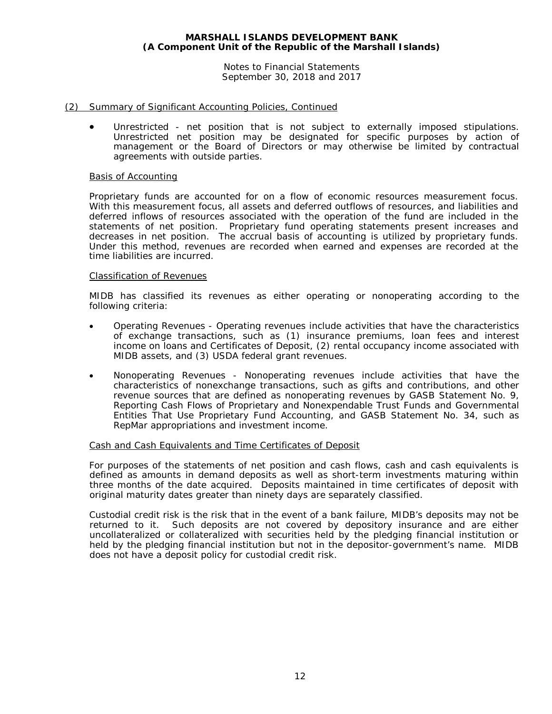Notes to Financial Statements September 30, 2018 and 2017

## (2) Summary of Significant Accounting Policies, Continued

• Unrestricted - net position that is not subject to externally imposed stipulations. Unrestricted net position may be designated for specific purposes by action of management or the Board of Directors or may otherwise be limited by contractual agreements with outside parties.

#### Basis of Accounting

Proprietary funds are accounted for on a flow of economic resources measurement focus. With this measurement focus, all assets and deferred outflows of resources, and liabilities and deferred inflows of resources associated with the operation of the fund are included in the statements of net position. Proprietary fund operating statements present increases and decreases in net position. The accrual basis of accounting is utilized by proprietary funds. Under this method, revenues are recorded when earned and expenses are recorded at the time liabilities are incurred.

#### Classification of Revenues

MIDB has classified its revenues as either operating or nonoperating according to the following criteria:

- *Operating Revenues* Operating revenues include activities that have the characteristics of exchange transactions, such as (1) insurance premiums, loan fees and interest income on loans and Certificates of Deposit, (2) rental occupancy income associated with MIDB assets, and (3) USDA federal grant revenues.
- *Nonoperating Revenues* Nonoperating revenues include activities that have the characteristics of nonexchange transactions, such as gifts and contributions, and other revenue sources that are defined as nonoperating revenues by GASB Statement No. 9, *Reporting Cash Flows of Proprietary and Nonexpendable Trust Funds and Governmental Entities That Use Proprietary Fund Accounting*, and GASB Statement No. 34, such as RepMar appropriations and investment income.

## Cash and Cash Equivalents and Time Certificates of Deposit

For purposes of the statements of net position and cash flows, cash and cash equivalents is defined as amounts in demand deposits as well as short-term investments maturing within three months of the date acquired. Deposits maintained in time certificates of deposit with original maturity dates greater than ninety days are separately classified.

Custodial credit risk is the risk that in the event of a bank failure, MIDB's deposits may not be returned to it. Such deposits are not covered by depository insurance and are either uncollateralized or collateralized with securities held by the pledging financial institution or held by the pledging financial institution but not in the depositor-government's name. MIDB does not have a deposit policy for custodial credit risk.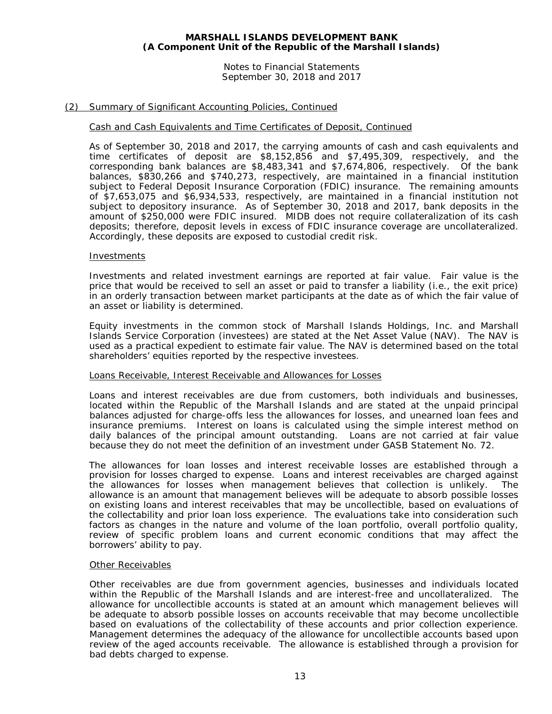Notes to Financial Statements September 30, 2018 and 2017

# (2) Summary of Significant Accounting Policies, Continued

## Cash and Cash Equivalents and Time Certificates of Deposit, Continued

As of September 30, 2018 and 2017, the carrying amounts of cash and cash equivalents and time certificates of deposit are \$8,152,856 and \$7,495,309, respectively, and the corresponding bank balances are \$8,483,341 and \$7,674,806, respectively. Of the bank balances, \$830,266 and \$740,273, respectively, are maintained in a financial institution subject to Federal Deposit Insurance Corporation (FDIC) insurance. The remaining amounts of \$7,653,075 and \$6,934,533, respectively, are maintained in a financial institution not subject to depository insurance. As of September 30, 2018 and 2017, bank deposits in the amount of \$250,000 were FDIC insured. MIDB does not require collateralization of its cash deposits; therefore, deposit levels in excess of FDIC insurance coverage are uncollateralized. Accordingly, these deposits are exposed to custodial credit risk.

#### Investments

Investments and related investment earnings are reported at fair value. Fair value is the price that would be received to sell an asset or paid to transfer a liability (i.e., the exit price) in an orderly transaction between market participants at the date as of which the fair value of an asset or liability is determined.

Equity investments in the common stock of Marshall Islands Holdings, Inc. and Marshall Islands Service Corporation (investees) are stated at the Net Asset Value (NAV). The NAV is used as a practical expedient to estimate fair value. The NAV is determined based on the total shareholders' equities reported by the respective investees.

## Loans Receivable, Interest Receivable and Allowances for Losses

Loans and interest receivables are due from customers, both individuals and businesses, located within the Republic of the Marshall Islands and are stated at the unpaid principal balances adjusted for charge-offs less the allowances for losses, and unearned loan fees and insurance premiums. Interest on loans is calculated using the simple interest method on daily balances of the principal amount outstanding. Loans are not carried at fair value because they do not meet the definition of an investment under GASB Statement No. 72.

The allowances for loan losses and interest receivable losses are established through a provision for losses charged to expense. Loans and interest receivables are charged against the allowances for losses when management believes that collection is unlikely. The allowance is an amount that management believes will be adequate to absorb possible losses on existing loans and interest receivables that may be uncollectible, based on evaluations of the collectability and prior loan loss experience. The evaluations take into consideration such factors as changes in the nature and volume of the loan portfolio, overall portfolio quality, review of specific problem loans and current economic conditions that may affect the borrowers' ability to pay.

## Other Receivables

Other receivables are due from government agencies, businesses and individuals located within the Republic of the Marshall Islands and are interest-free and uncollateralized. The allowance for uncollectible accounts is stated at an amount which management believes will be adequate to absorb possible losses on accounts receivable that may become uncollectible based on evaluations of the collectability of these accounts and prior collection experience. Management determines the adequacy of the allowance for uncollectible accounts based upon review of the aged accounts receivable. The allowance is established through a provision for bad debts charged to expense.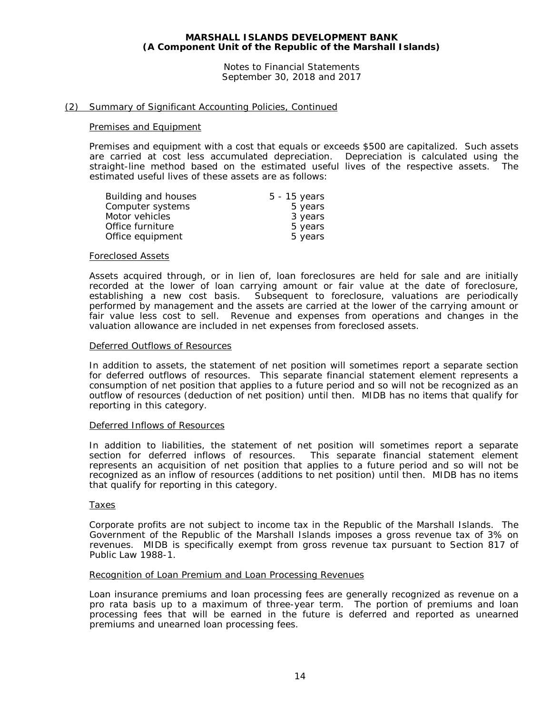Notes to Financial Statements September 30, 2018 and 2017

#### (2) Summary of Significant Accounting Policies, Continued

#### Premises and Equipment

Premises and equipment with a cost that equals or exceeds \$500 are capitalized. Such assets are carried at cost less accumulated depreciation. Depreciation is calculated using the straight-line method based on the estimated useful lives of the respective assets. The estimated useful lives of these assets are as follows:

| Building and houses | $5 - 15$ years |
|---------------------|----------------|
| Computer systems    | 5 years        |
| Motor vehicles      | 3 years        |
| Office furniture    | 5 years        |
| Office equipment    | 5 years        |

#### Foreclosed Assets

Assets acquired through, or in lien of, loan foreclosures are held for sale and are initially recorded at the lower of loan carrying amount or fair value at the date of foreclosure, establishing a new cost basis. Subsequent to foreclosure, valuations are periodically performed by management and the assets are carried at the lower of the carrying amount or fair value less cost to sell. Revenue and expenses from operations and changes in the valuation allowance are included in net expenses from foreclosed assets.

#### Deferred Outflows of Resources

In addition to assets, the statement of net position will sometimes report a separate section for deferred outflows of resources. This separate financial statement element represents a consumption of net position that applies to a future period and so will not be recognized as an outflow of resources (deduction of net position) until then. MIDB has no items that qualify for reporting in this category.

#### Deferred Inflows of Resources

In addition to liabilities, the statement of net position will sometimes report a separate section for deferred inflows of resources. This separate financial statement element represents an acquisition of net position that applies to a future period and so will not be recognized as an inflow of resources (additions to net position) until then. MIDB has no items that qualify for reporting in this category.

#### **Taxes**

Corporate profits are not subject to income tax in the Republic of the Marshall Islands. The Government of the Republic of the Marshall Islands imposes a gross revenue tax of 3% on revenues. MIDB is specifically exempt from gross revenue tax pursuant to Section 817 of Public Law 1988-1.

## Recognition of Loan Premium and Loan Processing Revenues

Loan insurance premiums and loan processing fees are generally recognized as revenue on a pro rata basis up to a maximum of three-year term. The portion of premiums and loan processing fees that will be earned in the future is deferred and reported as unearned premiums and unearned loan processing fees.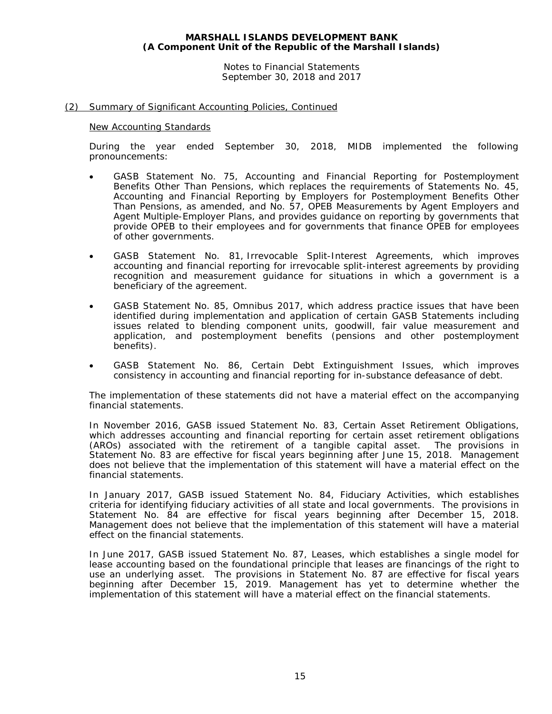Notes to Financial Statements September 30, 2018 and 2017

# (2) Summary of Significant Accounting Policies, Continued

## New Accounting Standards

During the year ended September 30, 2018, MIDB implemented the following pronouncements:

- GASB Statement No. 75, *Accounting and Financial Reporting for Postemployment Benefits Other Than Pensions*, which replaces the requirements of Statements No. 45, *Accounting and Financial Reporting by Employers for Postemployment Benefits Other Than Pensions*, as amended, and No. 57, *OPEB Measurements by Agent Employers and Agent Multiple-Employer Plans*, and provides guidance on reporting by governments that provide OPEB to their employees and for governments that finance OPEB for employees of other governments.
- GASB Statement No. 81, *Irrevocable Split-Interest Agreements,* which improves accounting and financial reporting for irrevocable split-interest agreements by providing recognition and measurement guidance for situations in which a government is a beneficiary of the agreement.
- GASB Statement No. 85, *Omnibus 2017*, which address practice issues that have been identified during implementation and application of certain GASB Statements including issues related to blending component units, goodwill, fair value measurement and application, and postemployment benefits (pensions and other postemployment benefits).
- GASB Statement No. 86, *Certain Debt Extinguishment Issues*, which improves consistency in accounting and financial reporting for in-substance defeasance of debt.

The implementation of these statements did not have a material effect on the accompanying financial statements.

In November 2016, GASB issued Statement No. 83, *Certain Asset Retirement Obligations*, which addresses accounting and financial reporting for certain asset retirement obligations (AROs) associated with the retirement of a tangible capital asset. The provisions in Statement No. 83 are effective for fiscal years beginning after June 15, 2018. Management does not believe that the implementation of this statement will have a material effect on the financial statements.

In January 2017, GASB issued Statement No. 84, *Fiduciary Activities*, which establishes criteria for identifying fiduciary activities of all state and local governments. The provisions in Statement No. 84 are effective for fiscal years beginning after December 15, 2018. Management does not believe that the implementation of this statement will have a material effect on the financial statements.

In June 2017, GASB issued Statement No. 87, *Leases*, which establishes a single model for lease accounting based on the foundational principle that leases are financings of the right to use an underlying asset. The provisions in Statement No. 87 are effective for fiscal years beginning after December 15, 2019. Management has yet to determine whether the implementation of this statement will have a material effect on the financial statements.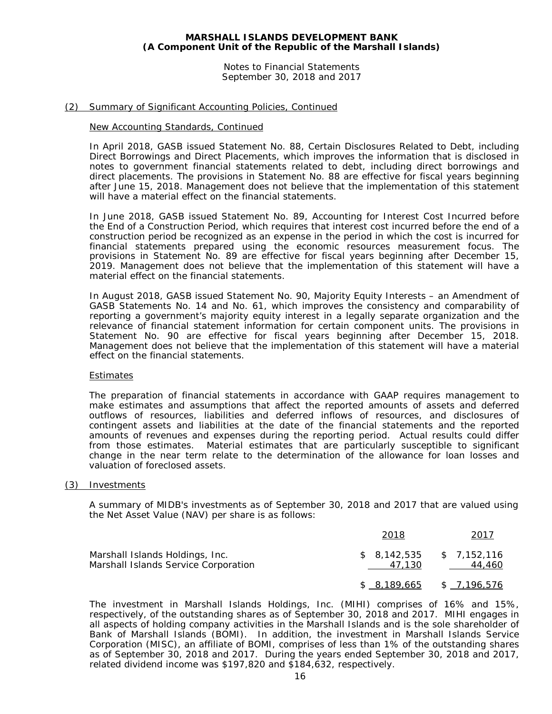Notes to Financial Statements September 30, 2018 and 2017

#### (2) Summary of Significant Accounting Policies, Continued

#### New Accounting Standards, Continued

In April 2018, GASB issued Statement No. 88, *Certain Disclosures Related to Debt, including Direct Borrowings and Direct Placements*, which improves the information that is disclosed in notes to government financial statements related to debt, including direct borrowings and direct placements. The provisions in Statement No. 88 are effective for fiscal years beginning after June 15, 2018. Management does not believe that the implementation of this statement will have a material effect on the financial statements.

In June 2018, GASB issued Statement No. 89, *Accounting for Interest Cost Incurred before the End of a Construction Period*, which requires that interest cost incurred before the end of a construction period be recognized as an expense in the period in which the cost is incurred for financial statements prepared using the economic resources measurement focus. The provisions in Statement No. 89 are effective for fiscal years beginning after December 15, 2019. Management does not believe that the implementation of this statement will have a material effect on the financial statements.

In August 2018, GASB issued Statement No. 90, *Majority Equity Interests – an Amendment of GASB Statements No. 14 and No. 61,* which improves the consistency and comparability of reporting a government's majority equity interest in a legally separate organization and the relevance of financial statement information for certain component units. The provisions in Statement No. 90 are effective for fiscal years beginning after December 15, 2018. Management does not believe that the implementation of this statement will have a material effect on the financial statements.

#### Estimates

The preparation of financial statements in accordance with GAAP requires management to make estimates and assumptions that affect the reported amounts of assets and deferred outflows of resources, liabilities and deferred inflows of resources, and disclosures of contingent assets and liabilities at the date of the financial statements and the reported amounts of revenues and expenses during the reporting period. Actual results could differ from those estimates. Material estimates that are particularly susceptible to significant change in the near term relate to the determination of the allowance for loan losses and valuation of foreclosed assets.

#### (3) Investments

A summary of MIDB's investments as of September 30, 2018 and 2017 that are valued using the Net Asset Value (NAV) per share is as follows:

|                                                                         | 2018                                | 2017                |
|-------------------------------------------------------------------------|-------------------------------------|---------------------|
| Marshall Islands Holdings, Inc.<br>Marshall Islands Service Corporation | $$8,142,535$ $$7,152,116$<br>47.130 | 44,460              |
|                                                                         | \$ <u>8,189,665</u>                 | \$ <u>7,196,576</u> |

The investment in Marshall Islands Holdings, Inc. (MIHI) comprises of 16% and 15%, respectively, of the outstanding shares as of September 30, 2018 and 2017. MIHI engages in all aspects of holding company activities in the Marshall Islands and is the sole shareholder of Bank of Marshall Islands (BOMI). In addition, the investment in Marshall Islands Service Corporation (MISC), an affiliate of BOMI, comprises of less than 1% of the outstanding shares as of September 30, 2018 and 2017. During the years ended September 30, 2018 and 2017, related dividend income was \$197,820 and \$184,632, respectively.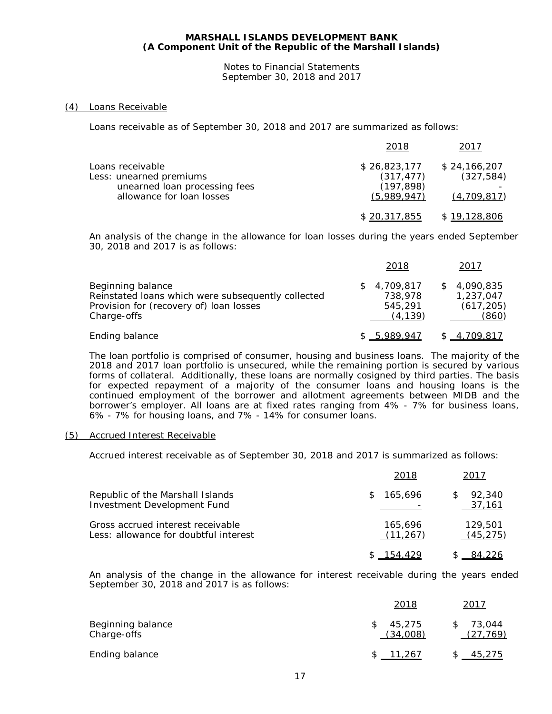Notes to Financial Statements September 30, 2018 and 2017

#### (4) Loans Receivable

Loans receivable as of September 30, 2018 and 2017 are summarized as follows:

|                               | 2018         | 2017          |
|-------------------------------|--------------|---------------|
| Loans receivable              | \$26,823,177 | \$24,166,207  |
| Less: unearned premiums       | (317, 477)   | (327, 584)    |
| unearned loan processing fees | (197, 898)   |               |
| allowance for loan losses     | (5.989.947)  | (4, 709, 817) |
|                               | \$20,317,855 | \$19,128,806  |

An analysis of the change in the allowance for loan losses during the years ended September 30, 2018 and 2017 is as follows:

|                                                                                                                                   | 2018                                       | 2017                                                 |
|-----------------------------------------------------------------------------------------------------------------------------------|--------------------------------------------|------------------------------------------------------|
| Beginning balance<br>Reinstated loans which were subsequently collected<br>Provision for (recovery of) loan losses<br>Charge-offs | 4,709,817<br>738,978<br>545,291<br>(4.139) | 4,090,835<br>\$.<br>1,237,047<br>(617, 205)<br>(860) |
| Ending balance                                                                                                                    | \$5,989,947                                | 4,709,817                                            |

The loan portfolio is comprised of consumer, housing and business loans. The majority of the 2018 and 2017 loan portfolio is unsecured, while the remaining portion is secured by various forms of collateral. Additionally, these loans are normally cosigned by third parties. The basis for expected repayment of a majority of the consumer loans and housing loans is the continued employment of the borrower and allotment agreements between MIDB and the borrower's employer. All loans are at fixed rates ranging from 4% - 7% for business loans, 6% - 7% for housing loans, and 7% - 14% for consumer loans.

#### (5) Accrued Interest Receivable

Accrued interest receivable as of September 30, 2018 and 2017 is summarized as follows:

|                                                                            | 2018                | 2017                          |
|----------------------------------------------------------------------------|---------------------|-------------------------------|
| Republic of the Marshall Islands<br>Investment Development Fund            | 165,696<br>S.       | 92.340<br>S<br>37 <u>,161</u> |
| Gross accrued interest receivable<br>Less: allowance for doubtful interest | 165.696<br>(11.267) | 129,501<br>(45, 275)          |
|                                                                            | 154.429             | 84.226                        |

An analysis of the change in the allowance for interest receivable during the years ended September 30, 2018 and 2017 is as follows:

|                                  | <u> 2018 </u>      | 2017                |
|----------------------------------|--------------------|---------------------|
| Beginning balance<br>Charge-offs | 45,275<br>(34,008) | 73,044<br>(27, 769) |
| Ending balance                   | 11.267             | 45,275              |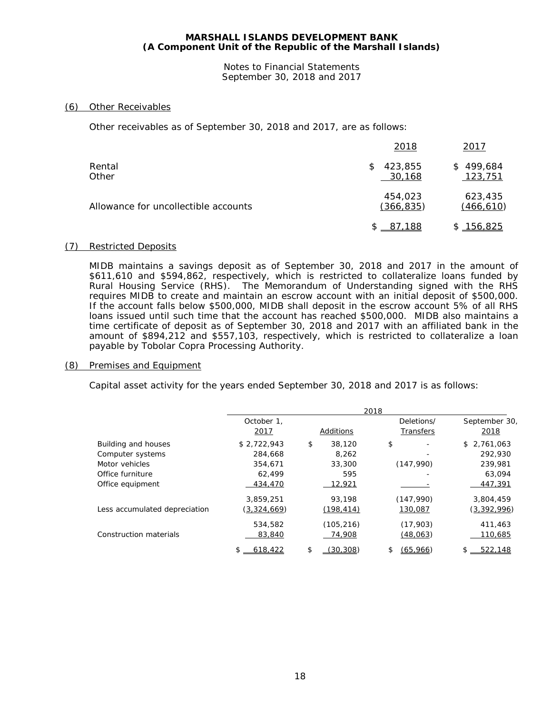Notes to Financial Statements September 30, 2018 and 2017

#### (6) Other Receivables

Other receivables as of September 30, 2018 and 2017, are as follows:

|                                      | 2018                    | 2017                  |
|--------------------------------------|-------------------------|-----------------------|
| Rental<br>Other                      | 423,855<br>\$<br>30,168 | \$499.684<br>123,751  |
| Allowance for uncollectible accounts | 454,023<br>(366, 835)   | 623,435<br>(466, 610) |
|                                      | $$ -87,188$             | \$156,825             |

## (7) Restricted Deposits

MIDB maintains a savings deposit as of September 30, 2018 and 2017 in the amount of \$611,610 and \$594,862, respectively, which is restricted to collateralize loans funded by Rural Housing Service (RHS). The Memorandum of Understanding signed with the RHS requires MIDB to create and maintain an escrow account with an initial deposit of \$500,000. If the account falls below \$500,000, MIDB shall deposit in the escrow account 5% of all RHS loans issued until such time that the account has reached \$500,000. MIDB also maintains a time certificate of deposit as of September 30, 2018 and 2017 with an affiliated bank in the amount of \$894,212 and \$557,103, respectively, which is restricted to collateralize a loan payable by Tobolar Copra Processing Authority.

#### (8) Premises and Equipment

Capital asset activity for the years ended September 30, 2018 and 2017 is as follows:

|                               |                    |                | 2018 |                         |             |                       |
|-------------------------------|--------------------|----------------|------|-------------------------|-------------|-----------------------|
|                               | October 1.<br>2017 | Additions      |      | Deletions/<br>Transfers |             | September 30,<br>2018 |
| Building and houses           | \$2,722,943        | \$<br>38,120   | \$   |                         | \$2,761,063 |                       |
| Computer systems              | 284,668            | 8.262          |      |                         |             | 292.930               |
| Motor vehicles                | 354,671            | 33,300         |      | (147,990)               |             | 239.981               |
| Office furniture              | 62.499             | 595            |      |                         |             | 63.094                |
| Office equipment              | 434,470            | 12,921         |      |                         |             | 447,391               |
|                               | 3,859,251          | 93,198         |      | (147,990)               |             | 3,804,459             |
| Less accumulated depreciation | (3,324,669)        | (198, 414)     |      | 130,087                 |             | (3,392,996)           |
|                               | 534,582            | (105, 216)     |      | (17,903)                |             | 411,463               |
| Construction materials        | 83,840             | 74,908         |      | (48,063)                |             | 110,685               |
|                               | 618,422            | \$<br>(30.308) | \$   | (65.966)                | \$          | 522,148               |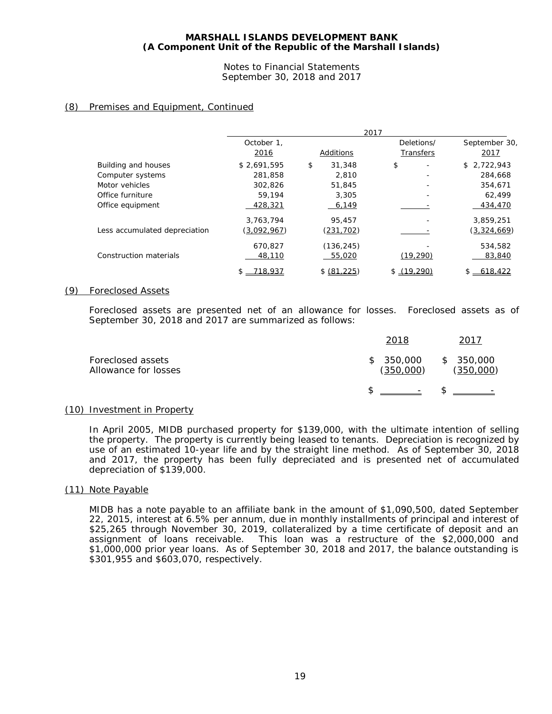# Notes to Financial Statements September 30, 2018 and 2017

# (8) Premises and Equipment, Continued

|                               |                    |                  | 2017 |                         |                       |
|-------------------------------|--------------------|------------------|------|-------------------------|-----------------------|
|                               | October 1.<br>2016 | Additions        |      | Deletions/<br>Transfers | September 30,<br>2017 |
| Building and houses           | \$2.691.595        | \$<br>31,348     |      | \$                      | \$2,722,943           |
| Computer systems              | 281,858            | 2,810            |      |                         | 284,668               |
| Motor vehicles                | 302,826            | 51,845           |      |                         | 354,671               |
| Office furniture              | 59,194             | 3,305            |      |                         | 62,499                |
| Office equipment              | 428,321            | 6,149            |      |                         | 434,470               |
|                               | 3,763,794          | 95,457           |      |                         | 3,859,251             |
| Less accumulated depreciation | <u>(3,092,967)</u> | <u>(231,702)</u> |      |                         | (3,324,669)           |
|                               | 670,827            | (136, 245)       |      |                         | 534,582               |
| Construction materials        | 48,110             | 55,020           |      | (19, 290)               | 83,840                |
|                               | 718,937            | \$ (81.225)      |      | \$(19, 290)             | 618,422               |

## (9) Foreclosed Assets

Foreclosed assets are presented net of an allowance for losses. Foreclosed assets as of September 30, 2018 and 2017 are summarized as follows:

|                                           | 2018                 | 2017                   |
|-------------------------------------------|----------------------|------------------------|
| Foreclosed assets<br>Allowance for losses | 350,000<br>(350,000) | \$350,000<br>(350,000) |
|                                           | $S \qquad -$         |                        |

## (10) Investment in Property

In April 2005, MIDB purchased property for \$139,000, with the ultimate intention of selling the property. The property is currently being leased to tenants. Depreciation is recognized by use of an estimated 10-year life and by the straight line method. As of September 30, 2018 and 2017, the property has been fully depreciated and is presented net of accumulated depreciation of \$139,000.

## (11) Note Payable

MIDB has a note payable to an affiliate bank in the amount of \$1,090,500, dated September 22, 2015, interest at 6.5% per annum, due in monthly installments of principal and interest of \$25,265 through November 30, 2019, collateralized by a time certificate of deposit and an assignment of loans receivable. This loan was a restructure of the \$2,000,000 and \$1,000,000 prior year loans. As of September 30, 2018 and 2017, the balance outstanding is \$301,955 and \$603,070, respectively.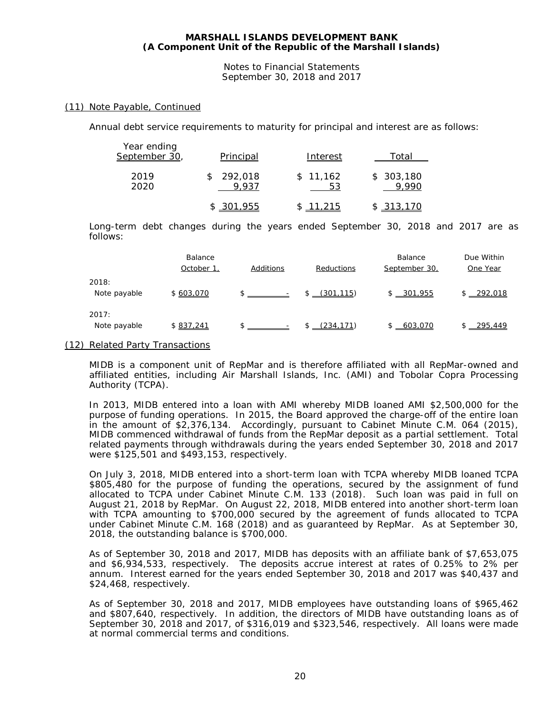Notes to Financial Statements September 30, 2018 and 2017

# (11) Note Payable, Continued

Annual debt service requirements to maturity for principal and interest are as follows:

| Year ending<br>September 30, | Principal        | Interest       | Total              |
|------------------------------|------------------|----------------|--------------------|
| 2019<br>2020                 | 292.018<br>9.937 | \$11,162<br>53 | \$303,180<br>9.990 |
|                              | - 301,955        | 11,215         | \$ 313,170         |

Long-term debt changes during the years ended September 30, 2018 and 2017 are as follows:

|                       | Balance<br>October 1 | Additions | Reductions | Balance<br>September 30, | Due Within<br>One Year |
|-----------------------|----------------------|-----------|------------|--------------------------|------------------------|
| 2018:<br>Note payable | \$603.070            |           | (301.115)  | \$ 301.955               | $$ -292.018$           |
| 2017:<br>Note payable | \$837,241            |           | (234.171)  | \$603.070                | 295,449                |

#### (12) Related Party Transactions

MIDB is a component unit of RepMar and is therefore affiliated with all RepMar-owned and affiliated entities, including Air Marshall Islands, Inc. (AMI) and Tobolar Copra Processing Authority (TCPA).

In 2013, MIDB entered into a loan with AMI whereby MIDB loaned AMI \$2,500,000 for the purpose of funding operations. In 2015, the Board approved the charge-off of the entire loan in the amount of \$2,376,134. Accordingly, pursuant to Cabinet Minute C.M. 064 (2015), MIDB commenced withdrawal of funds from the RepMar deposit as a partial settlement. Total related payments through withdrawals during the years ended September 30, 2018 and 2017 were \$125,501 and \$493,153, respectively.

On July 3, 2018, MIDB entered into a short-term loan with TCPA whereby MIDB loaned TCPA \$805,480 for the purpose of funding the operations, secured by the assignment of fund allocated to TCPA under Cabinet Minute C.M. 133 (2018). Such loan was paid in full on August 21, 2018 by RepMar. On August 22, 2018, MIDB entered into another short-term loan with TCPA amounting to \$700,000 secured by the agreement of funds allocated to TCPA under Cabinet Minute C.M. 168 (2018) and as guaranteed by RepMar. As at September 30, 2018, the outstanding balance is \$700,000.

As of September 30, 2018 and 2017, MIDB has deposits with an affiliate bank of \$7,653,075 and \$6,934,533, respectively. The deposits accrue interest at rates of 0.25% to 2% per annum. Interest earned for the years ended September 30, 2018 and 2017 was \$40,437 and \$24,468, respectively.

As of September 30, 2018 and 2017, MIDB employees have outstanding loans of \$965,462 and \$807,640, respectively. In addition, the directors of MIDB have outstanding loans as of September 30, 2018 and 2017, of \$316,019 and \$323,546, respectively. All loans were made at normal commercial terms and conditions.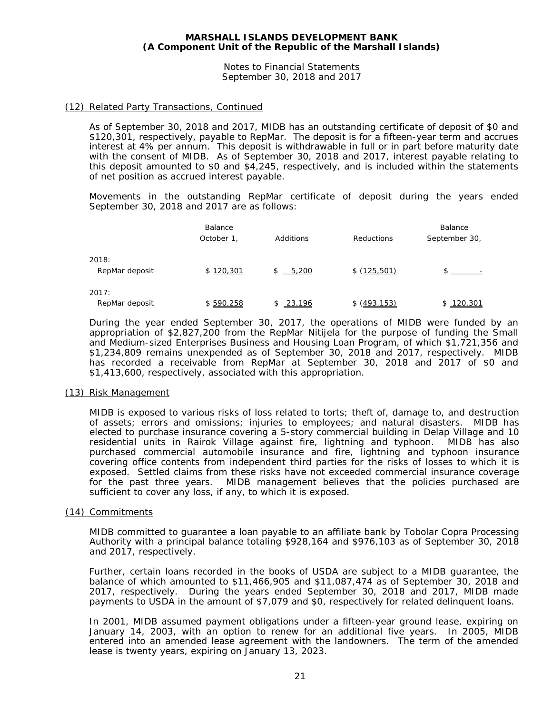Notes to Financial Statements September 30, 2018 and 2017

## (12) Related Party Transactions, Continued

As of September 30, 2018 and 2017, MIDB has an outstanding certificate of deposit of \$0 and \$120,301, respectively, payable to RepMar. The deposit is for a fifteen-year term and accrues interest at 4% per annum. This deposit is withdrawable in full or in part before maturity date with the consent of MIDB. As of September 30, 2018 and 2017, interest payable relating to this deposit amounted to \$0 and \$4,245, respectively, and is included within the statements of net position as accrued interest payable.

Movements in the outstanding RepMar certificate of deposit during the years ended September 30, 2018 and 2017 are as follows:

|                         | Balance<br>October 1 | Additions | Reductions    | Balance<br>September 30, |
|-------------------------|----------------------|-----------|---------------|--------------------------|
| 2018:<br>RepMar deposit | \$120.301            | 5,200     | \$ (125.501)  |                          |
| 2017:<br>RepMar deposit | \$590.258            | 23,196    | \$ (493, 153) | 120,301                  |

During the year ended September 30, 2017, the operations of MIDB were funded by an appropriation of \$2,827,200 from the RepMar Nitijela for the purpose of funding the Small and Medium-sized Enterprises Business and Housing Loan Program, of which \$1,721,356 and \$1,234,809 remains unexpended as of September 30, 2018 and 2017, respectively. MIDB has recorded a receivable from RepMar at September 30, 2018 and 2017 of \$0 and \$1,413,600, respectively, associated with this appropriation.

## (13) Risk Management

MIDB is exposed to various risks of loss related to torts; theft of, damage to, and destruction of assets; errors and omissions; injuries to employees; and natural disasters. MIDB has elected to purchase insurance covering a 5-story commercial building in Delap Village and 10 residential units in Rairok Village against fire, lightning and typhoon. MIDB has also purchased commercial automobile insurance and fire, lightning and typhoon insurance covering office contents from independent third parties for the risks of losses to which it is exposed. Settled claims from these risks have not exceeded commercial insurance coverage for the past three years. MIDB management believes that the policies purchased are sufficient to cover any loss, if any, to which it is exposed.

## (14) Commitments

MIDB committed to guarantee a loan payable to an affiliate bank by Tobolar Copra Processing Authority with a principal balance totaling \$928,164 and \$976,103 as of September 30, 2018 and 2017, respectively.

Further, certain loans recorded in the books of USDA are subject to a MIDB guarantee, the balance of which amounted to \$11,466,905 and \$11,087,474 as of September 30, 2018 and 2017, respectively. During the years ended September 30, 2018 and 2017, MIDB made payments to USDA in the amount of \$7,079 and \$0, respectively for related delinquent loans.

In 2001, MIDB assumed payment obligations under a fifteen-year ground lease, expiring on January 14, 2003, with an option to renew for an additional five years. In 2005, MIDB entered into an amended lease agreement with the landowners. The term of the amended lease is twenty years, expiring on January 13, 2023.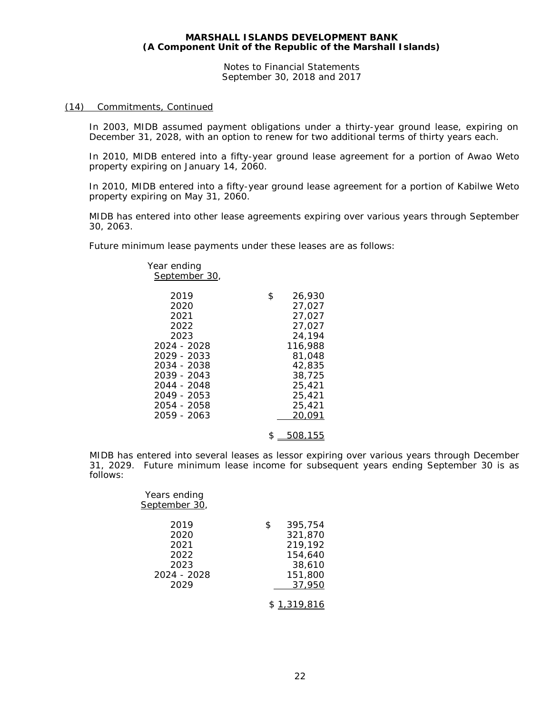Notes to Financial Statements September 30, 2018 and 2017

#### (14) Commitments, Continued

Year ending

In 2003, MIDB assumed payment obligations under a thirty-year ground lease, expiring on December 31, 2028, with an option to renew for two additional terms of thirty years each.

In 2010, MIDB entered into a fifty-year ground lease agreement for a portion of Awao Weto property expiring on January 14, 2060.

In 2010, MIDB entered into a fifty-year ground lease agreement for a portion of Kabilwe Weto property expiring on May 31, 2060.

MIDB has entered into other lease agreements expiring over various years through September 30, 2063.

Future minimum lease payments under these leases are as follows:

| var vriamig<br>September 30,                                                                                                                                     |                                                                                                                                       |
|------------------------------------------------------------------------------------------------------------------------------------------------------------------|---------------------------------------------------------------------------------------------------------------------------------------|
| 2019<br>2020<br>2021<br>2022<br>2023<br>2024 - 2028<br>2029 - 2033<br>2034 - 2038<br>$2039 - 2043$<br>2044 - 2048<br>$2049 - 2053$<br>2054 - 2058<br>2059 - 2063 | \$<br>26,930<br>27.027<br>27.027<br>27.027<br>24.194<br>116,988<br>81.048<br>42,835<br>38,725<br>25,421<br>25,421<br>25,421<br>20.091 |
|                                                                                                                                                                  |                                                                                                                                       |

\$ 508,155

MIDB has entered into several leases as lessor expiring over various years through December 31, 2029. Future minimum lease income for subsequent years ending September 30 is as follows:

| Years ending<br>September 30,                               |                                                                               |
|-------------------------------------------------------------|-------------------------------------------------------------------------------|
|                                                             |                                                                               |
| 2019<br>2020<br>2021<br>2022<br>2023<br>2024 - 2028<br>2029 | 395,754<br>\$<br>321,870<br>219,192<br>154,640<br>38,610<br>151,800<br>37,950 |
|                                                             |                                                                               |
|                                                             | \$ 1,319,8                                                                    |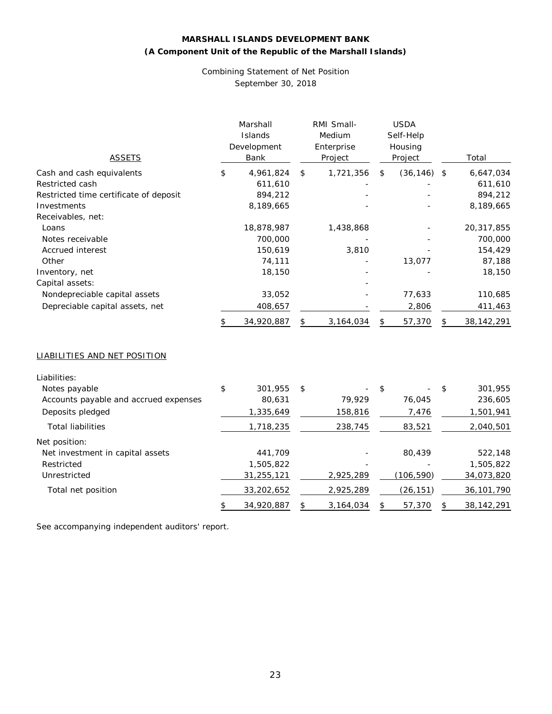# Combining Statement of Net Position September 30, 2018

| <b>ASSETS</b>                          | Marshall<br>Islands<br>Development<br>Bank | RMI Small-<br>Medium<br>Enterprise<br>Project | <b>USDA</b><br>Self-Help<br>Housing<br>Project |      | Total        |
|----------------------------------------|--------------------------------------------|-----------------------------------------------|------------------------------------------------|------|--------------|
| Cash and cash equivalents              | \$<br>4,961,824                            | \$<br>1,721,356                               | \$<br>(36, 146)                                | - \$ | 6,647,034    |
| Restricted cash                        | 611,610                                    |                                               |                                                |      | 611,610      |
| Restricted time certificate of deposit | 894,212                                    |                                               |                                                |      | 894,212      |
| Investments                            | 8,189,665                                  |                                               |                                                |      | 8,189,665    |
| Receivables, net:                      |                                            |                                               |                                                |      |              |
| Loans                                  | 18,878,987                                 | 1,438,868                                     |                                                |      | 20,317,855   |
| Notes receivable                       | 700,000                                    |                                               |                                                |      | 700,000      |
| Accrued interest                       | 150,619                                    | 3,810                                         |                                                |      | 154,429      |
| Other                                  | 74,111                                     |                                               | 13,077                                         |      | 87,188       |
| Inventory, net                         | 18,150                                     |                                               |                                                |      | 18,150       |
| Capital assets:                        |                                            |                                               |                                                |      |              |
| Nondepreciable capital assets          | 33,052                                     |                                               | 77,633                                         |      | 110,685      |
| Depreciable capital assets, net        | 408,657                                    |                                               | 2,806                                          |      | 411,463      |
|                                        | \$<br>34,920,887                           | \$<br>3,164,034                               | \$<br>57,370                                   | \$   | 38, 142, 291 |
| LIABILITIES AND NET POSITION           |                                            |                                               |                                                |      |              |
| Liabilities:                           |                                            |                                               |                                                |      |              |
| Notes payable                          | \$<br>301,955                              | \$                                            | \$                                             | \$   | 301,955      |
| Accounts payable and accrued expenses  | 80,631                                     | 79,929                                        | 76,045                                         |      | 236,605      |
| Deposits pledged                       | 1,335,649                                  | 158,816                                       | 7,476                                          |      | 1,501,941    |

| <b>Total liabilities</b>         | 1,718,235  | 238,745   | 83,521    | 2,040,501    |
|----------------------------------|------------|-----------|-----------|--------------|
| Net position:                    |            |           |           |              |
| Net investment in capital assets | 441,709    |           | 80,439    | 522,148      |
| Restricted                       | 1,505,822  |           |           | 1,505,822    |
| Unrestricted                     | 31,255,121 | 2,925,289 | (106,590) | 34,073,820   |
| Total net position               | 33,202,652 | 2,925,289 | (26,151)  | 36,101,790   |
|                                  | 34,920,887 | 3,164,034 | 57,370    | 38, 142, 291 |

See accompanying independent auditors' report.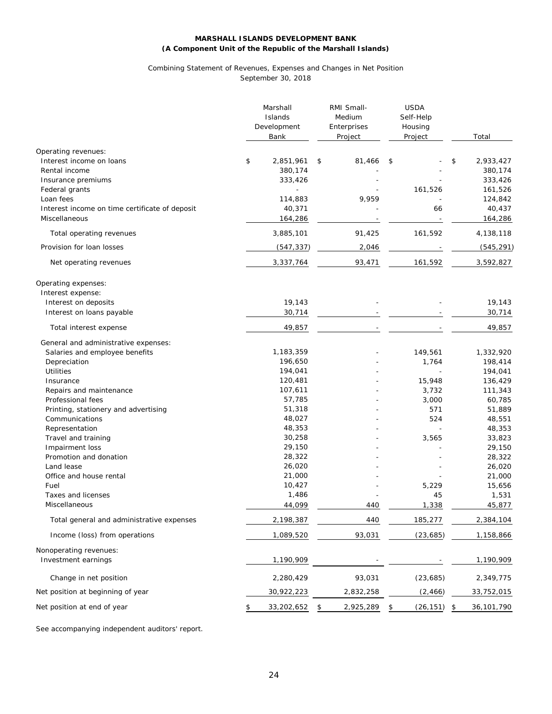# Combining Statement of Revenues, Expenses and Changes in Net Position

September 30, 2018

|                                                | Marshall<br>Islands<br>Development<br>Bank |    | RMI Small-<br>Medium<br>Enterprises<br>Project |    | <b>USDA</b><br>Self-Help<br>Housing<br>Project |    | Total           |  |
|------------------------------------------------|--------------------------------------------|----|------------------------------------------------|----|------------------------------------------------|----|-----------------|--|
| Operating revenues:                            |                                            |    |                                                |    |                                                |    |                 |  |
| Interest income on loans                       | \$<br>2,851,961                            | \$ | 81,466                                         | \$ |                                                | \$ | 2,933,427       |  |
| Rental income                                  | 380,174                                    |    |                                                |    |                                                |    | 380,174         |  |
| Insurance premiums                             | 333,426                                    |    |                                                |    |                                                |    | 333,426         |  |
| Federal grants                                 |                                            |    |                                                |    | 161,526                                        |    | 161,526         |  |
| Loan fees                                      | 114,883                                    |    | 9,959                                          |    |                                                |    | 124,842         |  |
| Interest income on time certificate of deposit | 40,371                                     |    |                                                |    | 66                                             |    | 40,437          |  |
| Miscellaneous                                  | 164,286                                    |    |                                                |    |                                                |    | 164,286         |  |
| Total operating revenues                       | 3,885,101                                  |    | 91,425                                         |    | 161,592                                        |    | 4,138,118       |  |
| Provision for loan losses                      | (547, 337)                                 |    | 2,046                                          |    |                                                |    | (545, 291)      |  |
| Net operating revenues                         | 3,337,764                                  |    | 93,471                                         |    | 161,592                                        |    | 3,592,827       |  |
| Operating expenses:                            |                                            |    |                                                |    |                                                |    |                 |  |
| Interest expense:                              |                                            |    |                                                |    |                                                |    |                 |  |
| Interest on deposits                           | 19,143                                     |    |                                                |    |                                                |    | 19,143          |  |
| Interest on loans payable                      | 30,714                                     |    |                                                |    |                                                |    | 30,714          |  |
| Total interest expense                         | 49,857                                     |    |                                                |    |                                                |    | 49,857          |  |
| General and administrative expenses:           |                                            |    |                                                |    |                                                |    |                 |  |
| Salaries and employee benefits                 | 1,183,359                                  |    |                                                |    | 149,561                                        |    | 1,332,920       |  |
| Depreciation                                   | 196,650                                    |    |                                                |    | 1,764                                          |    | 198,414         |  |
| <b>Utilities</b>                               | 194,041                                    |    |                                                |    | ÷.                                             |    | 194,041         |  |
| Insurance                                      | 120,481                                    |    |                                                |    | 15,948                                         |    | 136,429         |  |
| Repairs and maintenance                        | 107,611                                    |    |                                                |    | 3,732                                          |    | 111,343         |  |
| Professional fees                              | 57,785                                     |    |                                                |    | 3,000                                          |    | 60,785          |  |
| Printing, stationery and advertising           | 51,318                                     |    |                                                |    | 571                                            |    | 51,889          |  |
| Communications                                 | 48,027                                     |    |                                                |    | 524                                            |    | 48,551          |  |
| Representation                                 | 48,353                                     |    |                                                |    |                                                |    | 48,353          |  |
| Travel and training                            | 30,258                                     |    |                                                |    | 3,565                                          |    | 33,823          |  |
| Impairment loss                                | 29,150                                     |    |                                                |    |                                                |    | 29,150          |  |
| Promotion and donation                         | 28,322                                     |    |                                                |    |                                                |    | 28,322          |  |
| Land lease                                     | 26,020                                     |    |                                                |    |                                                |    | 26,020          |  |
| Office and house rental<br>Fuel                | 21,000                                     |    |                                                |    |                                                |    | 21,000          |  |
|                                                | 10,427<br>1,486                            |    |                                                |    | 5,229<br>45                                    |    | 15,656<br>1,531 |  |
| Taxes and licenses                             |                                            |    |                                                |    |                                                |    |                 |  |
| Miscellaneous                                  | 44,099                                     |    | 440                                            |    | 1,338                                          |    | 45,877          |  |
| Total general and administrative expenses      | 2,198,387                                  |    | 440                                            |    | 185,277                                        |    | 2,384,104       |  |
| Income (loss) from operations                  | 1,089,520                                  |    | 93,031                                         |    | (23, 685)                                      |    | 1,158,866       |  |
| Nonoperating revenues:                         |                                            |    |                                                |    |                                                |    |                 |  |
| Investment earnings                            | 1,190,909                                  |    |                                                |    |                                                |    | 1,190,909       |  |
| Change in net position                         | 2,280,429                                  |    | 93,031                                         |    | (23, 685)                                      |    | 2,349,775       |  |
| Net position at beginning of year              | 30,922,223                                 |    | 2,832,258                                      |    | (2, 466)                                       |    | 33,752,015      |  |
| Net position at end of year                    | \$<br>33,202,652                           | \$ | 2,925,289                                      | \$ | $(26, 151)$ \$                                 |    | 36,101,790      |  |

See accompanying independent auditors' report.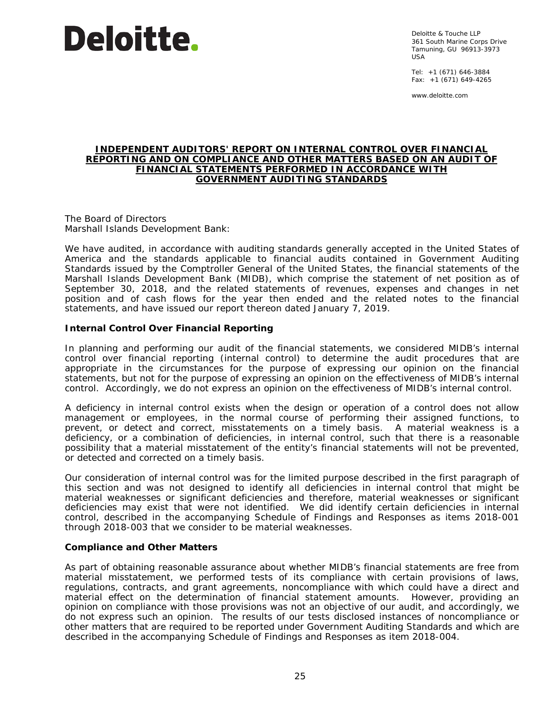# **Deloitte**.

Deloitte & Touche LLP 361 South Marine Corps Drive Tamuning, GU 96913-3973 USA

Tel: +1 (671) 646-3884 Fax: +1 (671) 649-4265

www.deloitte.com

#### **INDEPENDENT AUDITORS' REPORT ON INTERNAL CONTROL OVER FINANCIAL REPORTING AND ON COMPLIANCE AND OTHER MATTERS BASED ON AN AUDIT OF FINANCIAL STATEMENTS PERFORMED IN ACCORDANCE WITH**  *GOVERNMENT AUDITING STANDARDS*

The Board of Directors Marshall Islands Development Bank:

We have audited, in accordance with auditing standards generally accepted in the United States of America and the standards applicable to financial audits contained in *Government Auditing Standards* issued by the Comptroller General of the United States, the financial statements of the Marshall Islands Development Bank (MIDB), which comprise the statement of net position as of September 30, 2018, and the related statements of revenues, expenses and changes in net position and of cash flows for the year then ended and the related notes to the financial statements, and have issued our report thereon dated January 7, 2019.

# **Internal Control Over Financial Reporting**

In planning and performing our audit of the financial statements, we considered MIDB's internal control over financial reporting (internal control) to determine the audit procedures that are appropriate in the circumstances for the purpose of expressing our opinion on the financial statements, but not for the purpose of expressing an opinion on the effectiveness of MIDB's internal control. Accordingly, we do not express an opinion on the effectiveness of MIDB's internal control.

A *deficiency in internal control* exists when the design or operation of a control does not allow management or employees, in the normal course of performing their assigned functions, to prevent, or detect and correct, misstatements on a timely basis. A *material weakness* is a deficiency, or a combination of deficiencies, in internal control, such that there is a reasonable possibility that a material misstatement of the entity's financial statements will not be prevented, or detected and corrected on a timely basis.

Our consideration of internal control was for the limited purpose described in the first paragraph of this section and was not designed to identify all deficiencies in internal control that might be material weaknesses or significant deficiencies and therefore, material weaknesses or significant deficiencies may exist that were not identified. We did identify certain deficiencies in internal control, described in the accompanying Schedule of Findings and Responses as items 2018-001 through 2018-003 that we consider to be material weaknesses.

## **Compliance and Other Matters**

As part of obtaining reasonable assurance about whether MIDB's financial statements are free from material misstatement, we performed tests of its compliance with certain provisions of laws, regulations, contracts, and grant agreements, noncompliance with which could have a direct and material effect on the determination of financial statement amounts. However, providing an opinion on compliance with those provisions was not an objective of our audit, and accordingly, we do not express such an opinion. The results of our tests disclosed instances of noncompliance or other matters that are required to be reported under *Government Auditing Standards* and which are described in the accompanying Schedule of Findings and Responses as item 2018-004.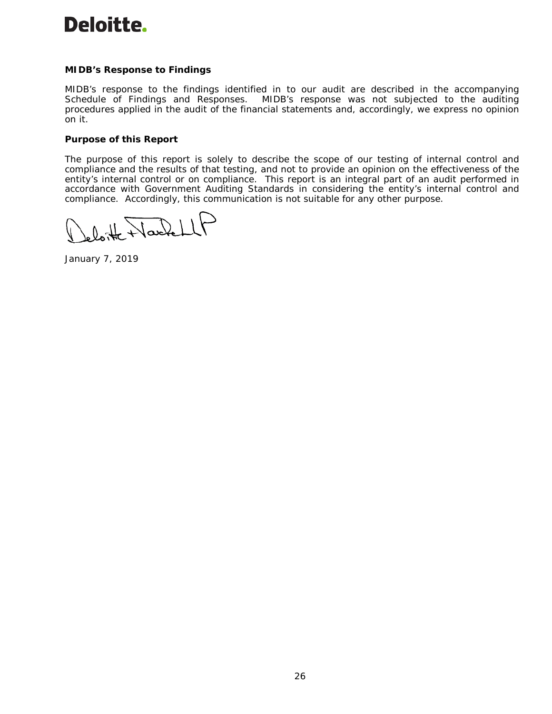# Deloitte.

# **MIDB's Response to Findings**

MIDB's response to the findings identified in to our audit are described in the accompanying<br>Schedule of Findings and Responses. MIDB's response was not subjected to the auditing MIDB's response was not subjected to the auditing procedures applied in the audit of the financial statements and, accordingly, we express no opinion on it.

# **Purpose of this Report**

The purpose of this report is solely to describe the scope of our testing of internal control and compliance and the results of that testing, and not to provide an opinion on the effectiveness of the entity's internal control or on compliance. This report is an integral part of an audit performed in accordance with *Government Auditing Standards* in considering the entity's internal control and compliance. Accordingly, this communication is not suitable for any other purpose.

Wackell

January 7, 2019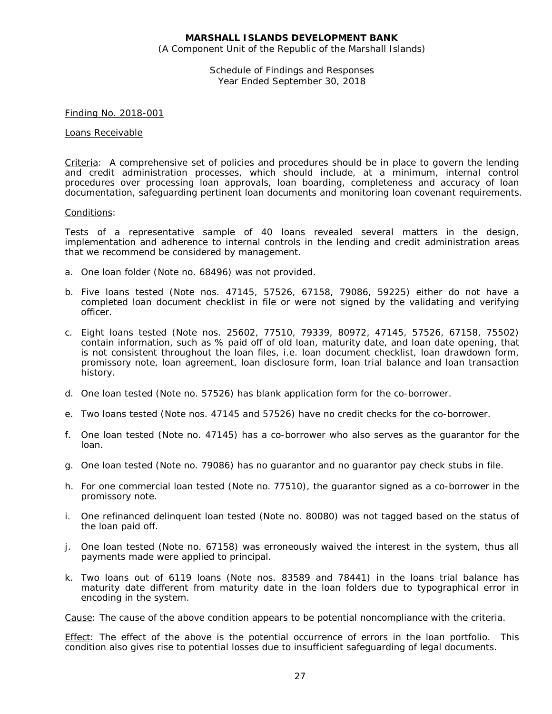(A Component Unit of the Republic of the Marshall Islands)

Schedule of Findings and Responses Year Ended September 30, 2018

#### Finding No. 2018-001

#### Loans Receivable

Criteria: A comprehensive set of policies and procedures should be in place to govern the lending and credit administration processes, which should include, at a minimum, internal control procedures over processing loan approvals, loan boarding, completeness and accuracy of loan documentation, safeguarding pertinent loan documents and monitoring loan covenant requirements.

#### Conditions:

Tests of a representative sample of 40 loans revealed several matters in the design, implementation and adherence to internal controls in the lending and credit administration areas that we recommend be considered by management.

- a. One loan folder (Note no. 68496) was not provided.
- b. Five loans tested (Note nos. 47145, 57526, 67158, 79086, 59225) either do not have a completed loan document checklist in file or were not signed by the validating and verifying officer.
- c. Eight loans tested (Note nos. 25602, 77510, 79339, 80972, 47145, 57526, 67158, 75502) contain information, such as % paid off of old loan, maturity date, and loan date opening, that is not consistent throughout the loan files, i.e. loan document checklist, loan drawdown form, promissory note, loan agreement, loan disclosure form, loan trial balance and loan transaction history.
- d. One loan tested (Note no. 57526) has blank application form for the co-borrower.
- e. Two loans tested (Note nos. 47145 and 57526) have no credit checks for the co-borrower.
- f. One loan tested (Note no. 47145) has a co-borrower who also serves as the guarantor for the loan.
- g. One loan tested (Note no. 79086) has no guarantor and no guarantor pay check stubs in file.
- h. For one commercial loan tested (Note no. 77510), the guarantor signed as a co-borrower in the promissory note.
- i. One refinanced delinquent loan tested (Note no. 80080) was not tagged based on the status of the loan paid off.
- j. One loan tested (Note no. 67158) was erroneously waived the interest in the system, thus all payments made were applied to principal.
- k. Two loans out of 6119 loans (Note nos. 83589 and 78441) in the loans trial balance has maturity date different from maturity date in the loan folders due to typographical error in encoding in the system.

Cause: The cause of the above condition appears to be potential noncompliance with the criteria.

Effect: The effect of the above is the potential occurrence of errors in the loan portfolio. This condition also gives rise to potential losses due to insufficient safeguarding of legal documents.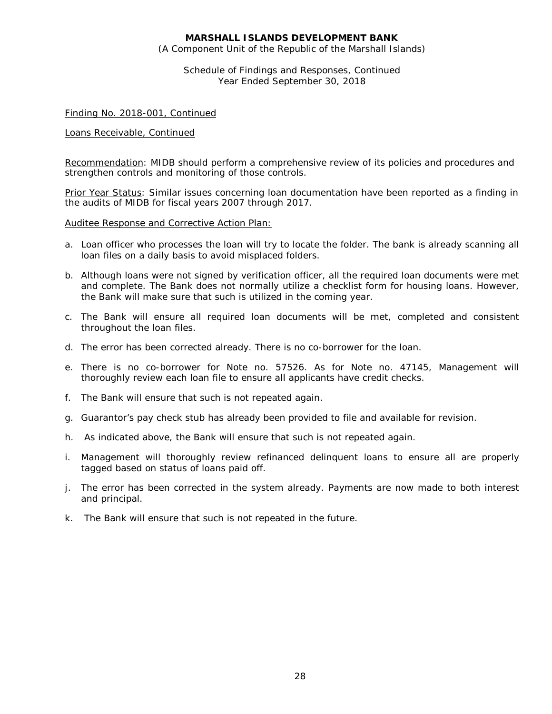(A Component Unit of the Republic of the Marshall Islands)

Schedule of Findings and Responses, Continued Year Ended September 30, 2018

# Finding No. 2018-001, Continued

#### Loans Receivable, Continued

Recommendation: MIDB should perform a comprehensive review of its policies and procedures and strengthen controls and monitoring of those controls.

Prior Year Status: Similar issues concerning loan documentation have been reported as a finding in the audits of MIDB for fiscal years 2007 through 2017.

## Auditee Response and Corrective Action Plan:

- a. Loan officer who processes the loan will try to locate the folder. The bank is already scanning all loan files on a daily basis to avoid misplaced folders.
- b. Although loans were not signed by verification officer, all the required loan documents were met and complete. The Bank does not normally utilize a checklist form for housing loans. However, the Bank will make sure that such is utilized in the coming year.
- c. The Bank will ensure all required loan documents will be met, completed and consistent throughout the loan files.
- d. The error has been corrected already. There is no co-borrower for the loan.
- e. There is no co-borrower for Note no. 57526. As for Note no. 47145, Management will thoroughly review each loan file to ensure all applicants have credit checks.
- f. The Bank will ensure that such is not repeated again.
- g. Guarantor's pay check stub has already been provided to file and available for revision.
- h. As indicated above, the Bank will ensure that such is not repeated again.
- i. Management will thoroughly review refinanced delinquent loans to ensure all are properly tagged based on status of loans paid off.
- j. The error has been corrected in the system already. Payments are now made to both interest and principal.
- k. The Bank will ensure that such is not repeated in the future.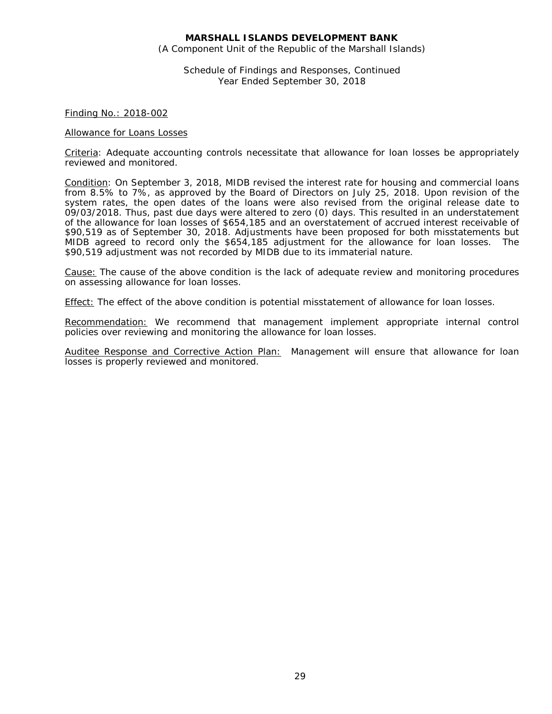(A Component Unit of the Republic of the Marshall Islands)

Schedule of Findings and Responses, Continued Year Ended September 30, 2018

#### Finding No.: 2018-002

#### Allowance for Loans Losses

Criteria: Adequate accounting controls necessitate that allowance for loan losses be appropriately reviewed and monitored.

Condition: On September 3, 2018, MIDB revised the interest rate for housing and commercial loans from 8.5% to 7%, as approved by the Board of Directors on July 25, 2018. Upon revision of the system rates, the open dates of the loans were also revised from the original release date to 09/03/2018. Thus, past due days were altered to zero (0) days. This resulted in an understatement of the allowance for loan losses of \$654,185 and an overstatement of accrued interest receivable of \$90,519 as of September 30, 2018. Adjustments have been proposed for both misstatements but MIDB agreed to record only the \$654,185 adjustment for the allowance for loan losses. The \$90,519 adjustment was not recorded by MIDB due to its immaterial nature.

Cause: The cause of the above condition is the lack of adequate review and monitoring procedures on assessing allowance for loan losses.

**Effect:** The effect of the above condition is potential misstatement of allowance for loan losses.

Recommendation: We recommend that management implement appropriate internal control policies over reviewing and monitoring the allowance for loan losses.

Auditee Response and Corrective Action Plan: Management will ensure that allowance for loan losses is properly reviewed and monitored.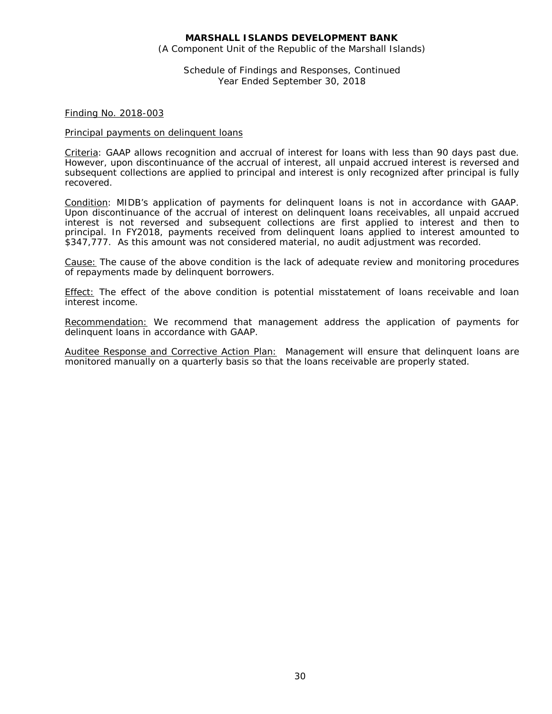(A Component Unit of the Republic of the Marshall Islands)

Schedule of Findings and Responses, Continued Year Ended September 30, 2018

Finding No. 2018-003

# Principal payments on delinquent loans

Criteria: GAAP allows recognition and accrual of interest for loans with less than 90 days past due. However, upon discontinuance of the accrual of interest, all unpaid accrued interest is reversed and subsequent collections are applied to principal and interest is only recognized after principal is fully recovered.

Condition: MIDB's application of payments for delinquent loans is not in accordance with GAAP. Upon discontinuance of the accrual of interest on delinquent loans receivables, all unpaid accrued interest is not reversed and subsequent collections are first applied to interest and then to principal. In FY2018, payments received from delinquent loans applied to interest amounted to \$347,777. As this amount was not considered material, no audit adjustment was recorded.

Cause: The cause of the above condition is the lack of adequate review and monitoring procedures of repayments made by delinquent borrowers.

Effect: The effect of the above condition is potential misstatement of loans receivable and loan interest income.

Recommendation: We recommend that management address the application of payments for delinquent loans in accordance with GAAP.

Auditee Response and Corrective Action Plan: Management will ensure that delinquent loans are monitored manually on a quarterly basis so that the loans receivable are properly stated.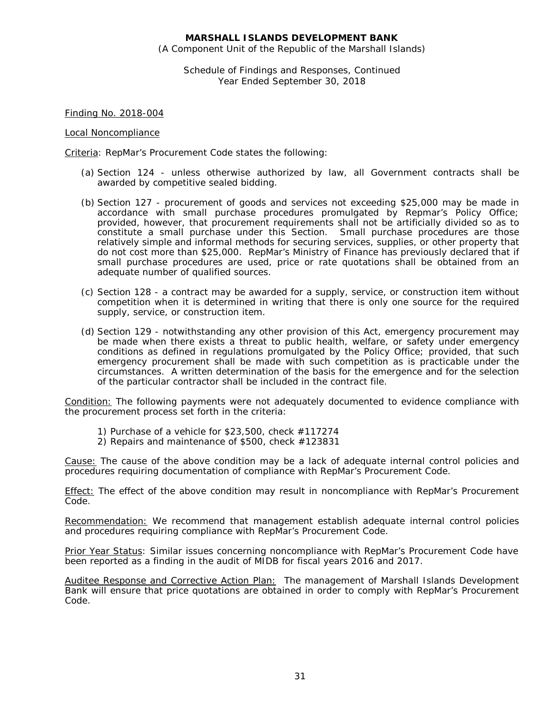(A Component Unit of the Republic of the Marshall Islands)

Schedule of Findings and Responses, Continued Year Ended September 30, 2018

Finding No. 2018-004

#### Local Noncompliance

Criteria: RepMar's Procurement Code states the following:

- (a) Section 124 unless otherwise authorized by law, all Government contracts shall be awarded by competitive sealed bidding.
- (b) Section 127 procurement of goods and services not exceeding \$25,000 may be made in accordance with small purchase procedures promulgated by Repmar's Policy Office; provided, however, that procurement requirements shall not be artificially divided so as to constitute a small purchase under this Section. Small purchase procedures are those relatively simple and informal methods for securing services, supplies, or other property that do not cost more than \$25,000. RepMar's Ministry of Finance has previously declared that if small purchase procedures are used, price or rate quotations shall be obtained from an adequate number of qualified sources.
- (c) Section 128 a contract may be awarded for a supply, service, or construction item without competition when it is determined in writing that there is only one source for the required supply, service, or construction item.
- (d) Section 129 notwithstanding any other provision of this Act, emergency procurement may be made when there exists a threat to public health, welfare, or safety under emergency conditions as defined in regulations promulgated by the Policy Office; provided, that such emergency procurement shall be made with such competition as is practicable under the circumstances. A written determination of the basis for the emergence and for the selection of the particular contractor shall be included in the contract file.

Condition: The following payments were not adequately documented to evidence compliance with the procurement process set forth in the criteria:

- 1) Purchase of a vehicle for \$23,500, check #117274
- 2) Repairs and maintenance of \$500, check #123831

Cause: The cause of the above condition may be a lack of adequate internal control policies and procedures requiring documentation of compliance with RepMar's Procurement Code.

**Effect:** The effect of the above condition may result in noncompliance with RepMar's Procurement Code.

Recommendation: We recommend that management establish adequate internal control policies and procedures requiring compliance with RepMar's Procurement Code.

Prior Year Status: Similar issues concerning noncompliance with RepMar's Procurement Code have been reported as a finding in the audit of MIDB for fiscal years 2016 and 2017.

Auditee Response and Corrective Action Plan: The management of Marshall Islands Development Bank will ensure that price quotations are obtained in order to comply with RepMar's Procurement Code.